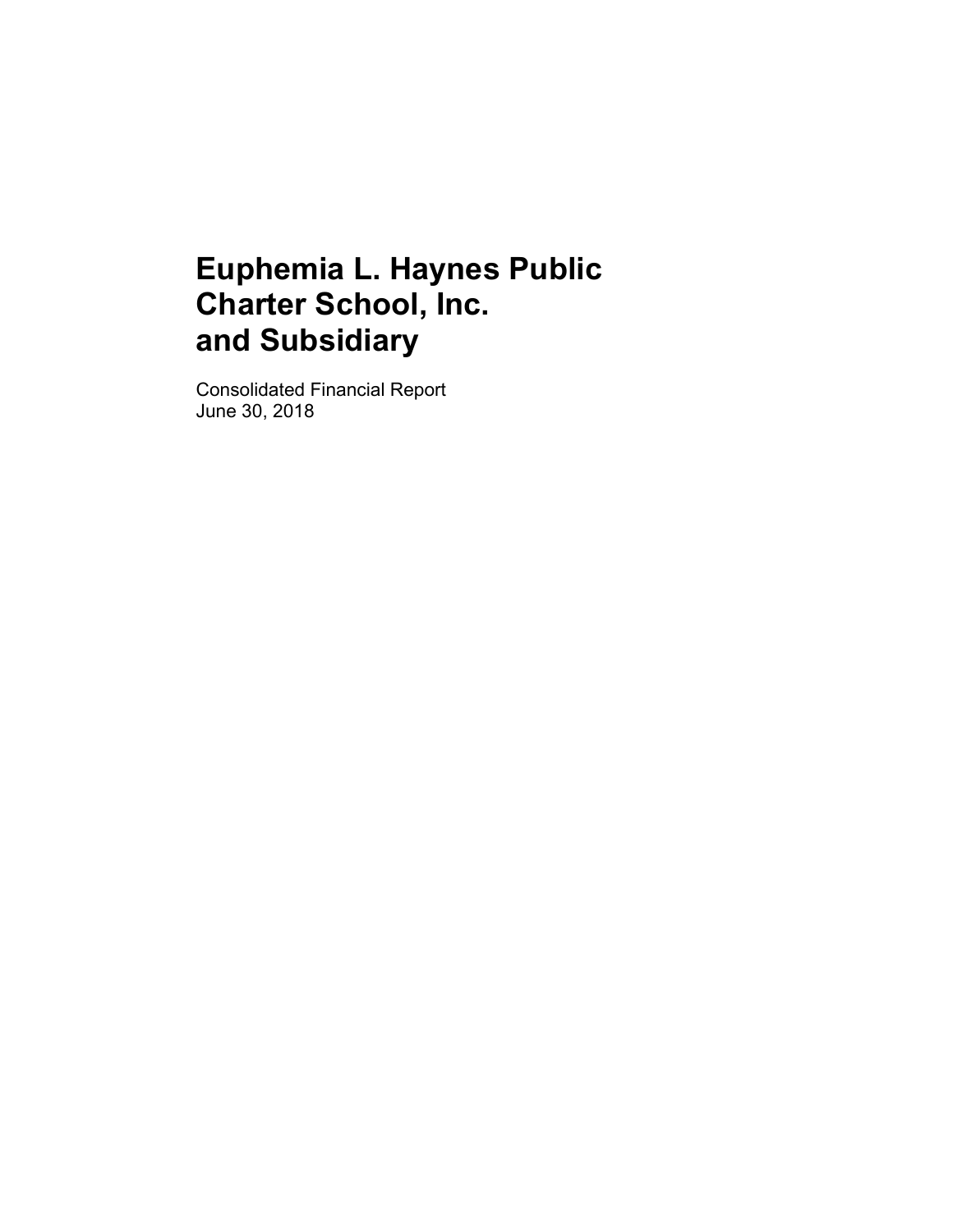Consolidated Financial Report June 30, 2018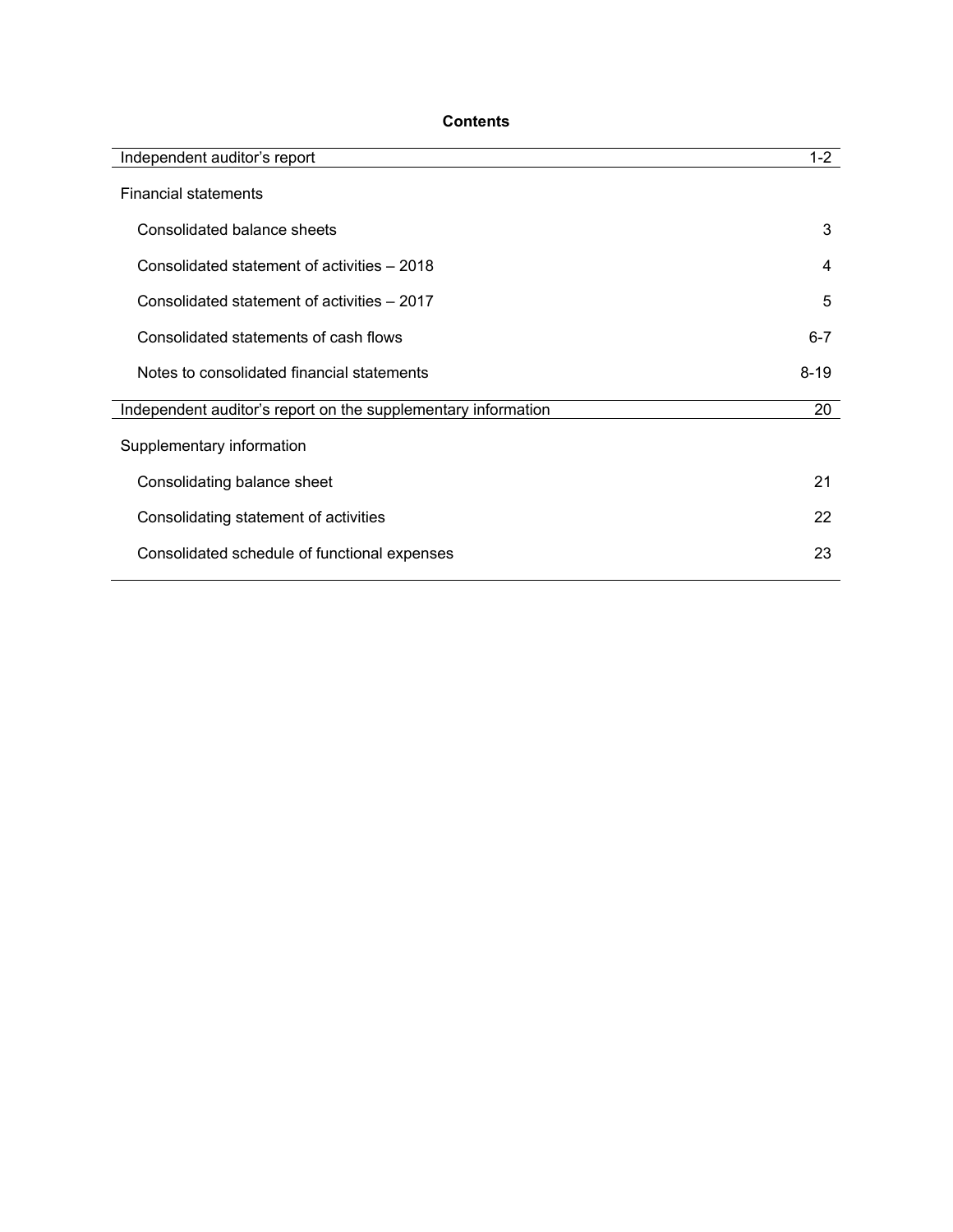# **Contents**

| Independent auditor's report                                  | $1 - 2$  |
|---------------------------------------------------------------|----------|
| <b>Financial statements</b>                                   |          |
| Consolidated balance sheets                                   | 3        |
| Consolidated statement of activities – 2018                   | 4        |
| Consolidated statement of activities – 2017                   | 5        |
| Consolidated statements of cash flows                         | $6 - 7$  |
| Notes to consolidated financial statements                    | $8 - 19$ |
| Independent auditor's report on the supplementary information | 20       |
| Supplementary information                                     |          |
| Consolidating balance sheet                                   | 21       |
| Consolidating statement of activities                         | 22       |
| Consolidated schedule of functional expenses                  | 23       |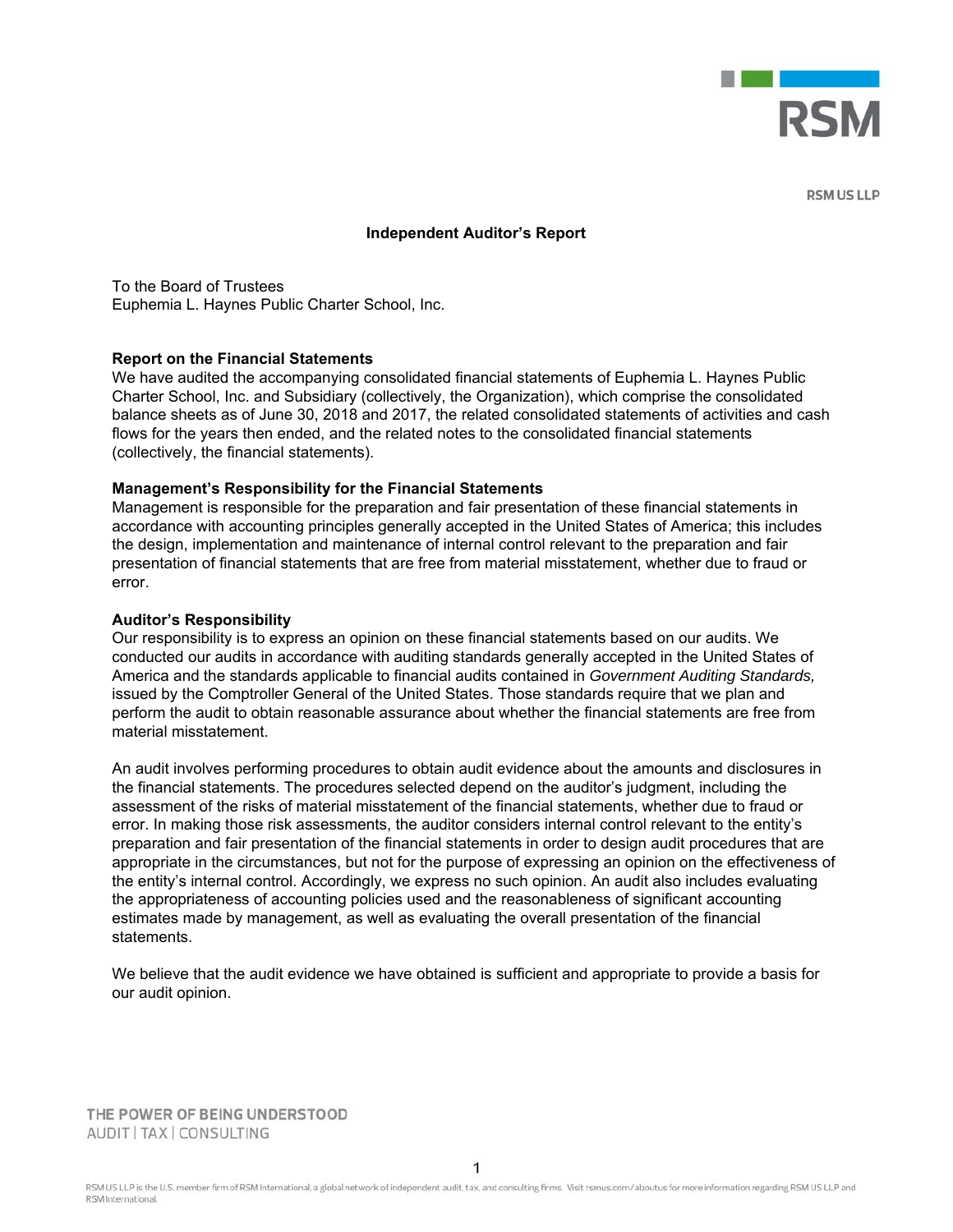

**RSMUSLLP** 

#### **Independent Auditor's Report**

To the Board of Trustees Euphemia L. Haynes Public Charter School, Inc.

#### **Report on the Financial Statements**

We have audited the accompanying consolidated financial statements of Euphemia L. Haynes Public Charter School, Inc. and Subsidiary (collectively, the Organization), which comprise the consolidated balance sheets as of June 30, 2018 and 2017, the related consolidated statements of activities and cash flows for the years then ended, and the related notes to the consolidated financial statements (collectively, the financial statements).

#### **Management's Responsibility for the Financial Statements**

Management is responsible for the preparation and fair presentation of these financial statements in accordance with accounting principles generally accepted in the United States of America; this includes the design, implementation and maintenance of internal control relevant to the preparation and fair presentation of financial statements that are free from material misstatement, whether due to fraud or error.

#### **Auditor's Responsibility**

Our responsibility is to express an opinion on these financial statements based on our audits. We conducted our audits in accordance with auditing standards generally accepted in the United States of America and the standards applicable to financial audits contained in *Government Auditing Standards,*  issued by the Comptroller General of the United States. Those standards require that we plan and perform the audit to obtain reasonable assurance about whether the financial statements are free from material misstatement.

An audit involves performing procedures to obtain audit evidence about the amounts and disclosures in the financial statements. The procedures selected depend on the auditor's judgment, including the assessment of the risks of material misstatement of the financial statements, whether due to fraud or error. In making those risk assessments, the auditor considers internal control relevant to the entity's preparation and fair presentation of the financial statements in order to design audit procedures that are appropriate in the circumstances, but not for the purpose of expressing an opinion on the effectiveness of the entity's internal control. Accordingly, we express no such opinion. An audit also includes evaluating the appropriateness of accounting policies used and the reasonableness of significant accounting estimates made by management, as well as evaluating the overall presentation of the financial statements.

We believe that the audit evidence we have obtained is sufficient and appropriate to provide a basis for our audit opinion.

THE POWER OF BEING UNDERSTOOD AUDIT | TAX | CONSULTING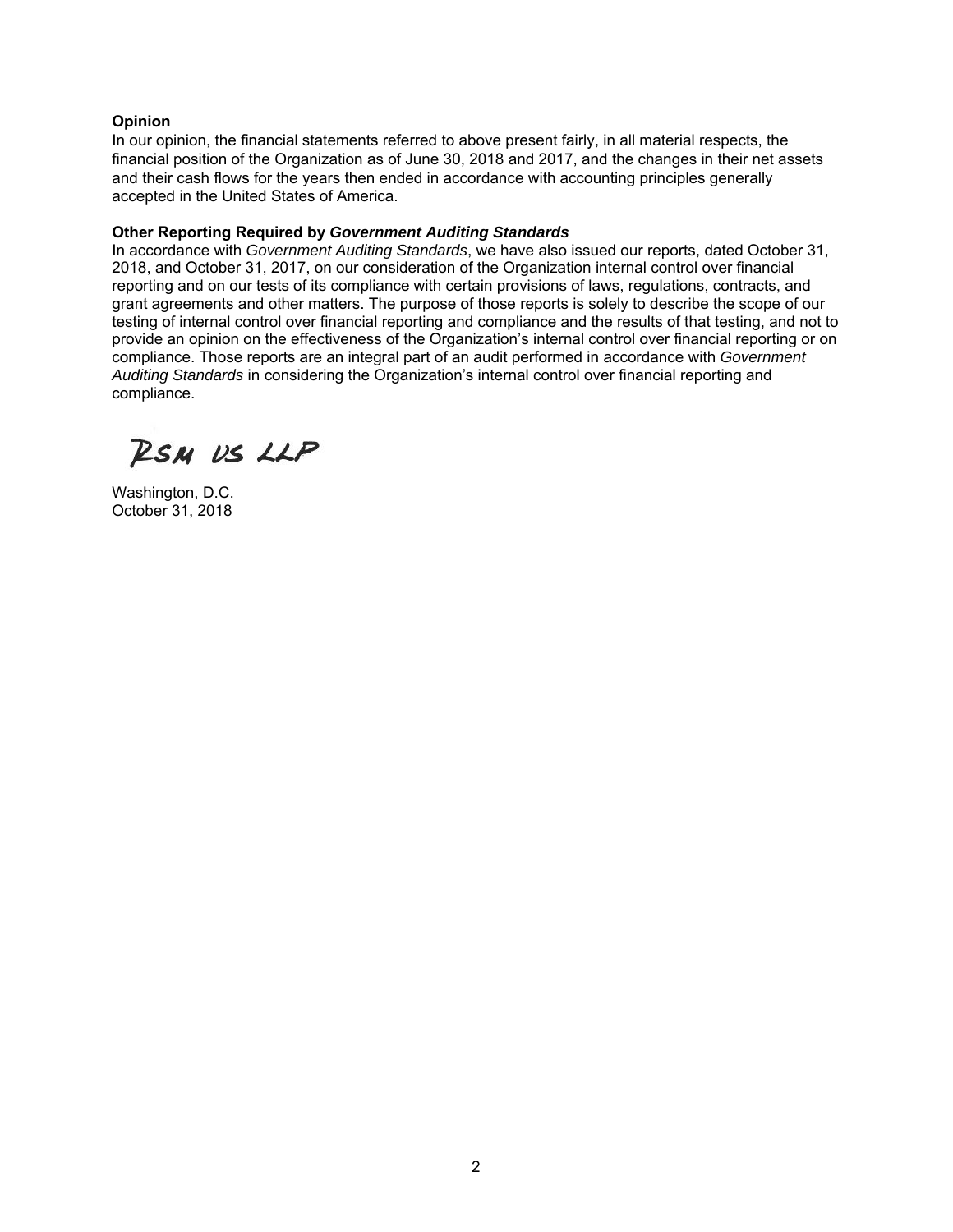#### **Opinion**

In our opinion, the financial statements referred to above present fairly, in all material respects, the financial position of the Organization as of June 30, 2018 and 2017, and the changes in their net assets and their cash flows for the years then ended in accordance with accounting principles generally accepted in the United States of America.

#### **Other Reporting Required by** *Government Auditing Standards*

In accordance with *Government Auditing Standards*, we have also issued our reports, dated October 31, 2018, and October 31, 2017, on our consideration of the Organization internal control over financial reporting and on our tests of its compliance with certain provisions of laws, regulations, contracts, and grant agreements and other matters. The purpose of those reports is solely to describe the scope of our testing of internal control over financial reporting and compliance and the results of that testing, and not to provide an opinion on the effectiveness of the Organization's internal control over financial reporting or on compliance. Those reports are an integral part of an audit performed in accordance with *Government Auditing Standards* in considering the Organization's internal control over financial reporting and compliance.

RSM US LLP

Washington, D.C. October 31, 2018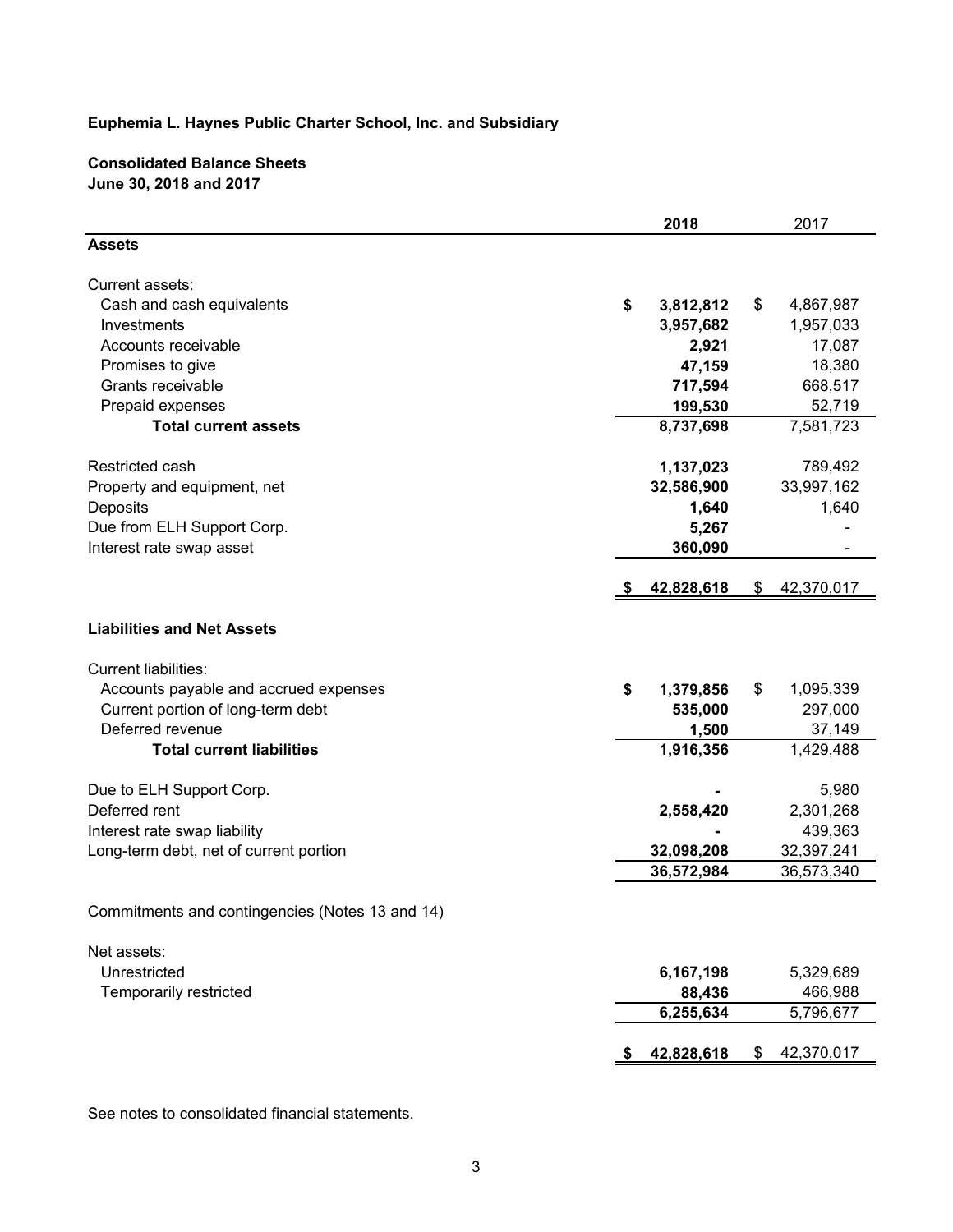# **Consolidated Balance Sheets June 30, 2018 and 2017**

|                                                 |      | 2018       | 2017             |
|-------------------------------------------------|------|------------|------------------|
| <b>Assets</b>                                   |      |            |                  |
| Current assets:                                 |      |            |                  |
| Cash and cash equivalents                       | \$   | 3,812,812  | \$<br>4,867,987  |
| Investments                                     |      | 3,957,682  | 1,957,033        |
| Accounts receivable                             |      | 2,921      | 17,087           |
| Promises to give                                |      | 47,159     | 18,380           |
| Grants receivable                               |      | 717,594    | 668,517          |
| Prepaid expenses                                |      | 199,530    | 52,719           |
| <b>Total current assets</b>                     |      | 8,737,698  | 7,581,723        |
| Restricted cash                                 |      | 1,137,023  | 789,492          |
| Property and equipment, net                     |      | 32,586,900 | 33,997,162       |
| Deposits                                        |      | 1,640      | 1,640            |
| Due from ELH Support Corp.                      |      | 5,267      |                  |
| Interest rate swap asset                        |      | 360,090    |                  |
|                                                 | - 56 | 42,828,618 | \$<br>42,370,017 |
| <b>Liabilities and Net Assets</b>               |      |            |                  |
| <b>Current liabilities:</b>                     |      |            |                  |
| Accounts payable and accrued expenses           | \$   | 1,379,856  | \$<br>1,095,339  |
| Current portion of long-term debt               |      | 535,000    | 297,000          |
| Deferred revenue                                |      | 1,500      | 37,149           |
| <b>Total current liabilities</b>                |      | 1,916,356  | 1,429,488        |
| Due to ELH Support Corp.                        |      |            | 5,980            |
| Deferred rent                                   |      | 2,558,420  | 2,301,268        |
| Interest rate swap liability                    |      |            | 439,363          |
| Long-term debt, net of current portion          |      | 32,098,208 | 32,397,241       |
|                                                 |      | 36,572,984 | 36,573,340       |
| Commitments and contingencies (Notes 13 and 14) |      |            |                  |
| Net assets:                                     |      |            |                  |
| Unrestricted                                    |      | 6,167,198  | 5,329,689        |
| Temporarily restricted                          |      | 88,436     | 466,988          |
|                                                 |      |            |                  |
|                                                 |      | 6,255,634  | 5,796,677        |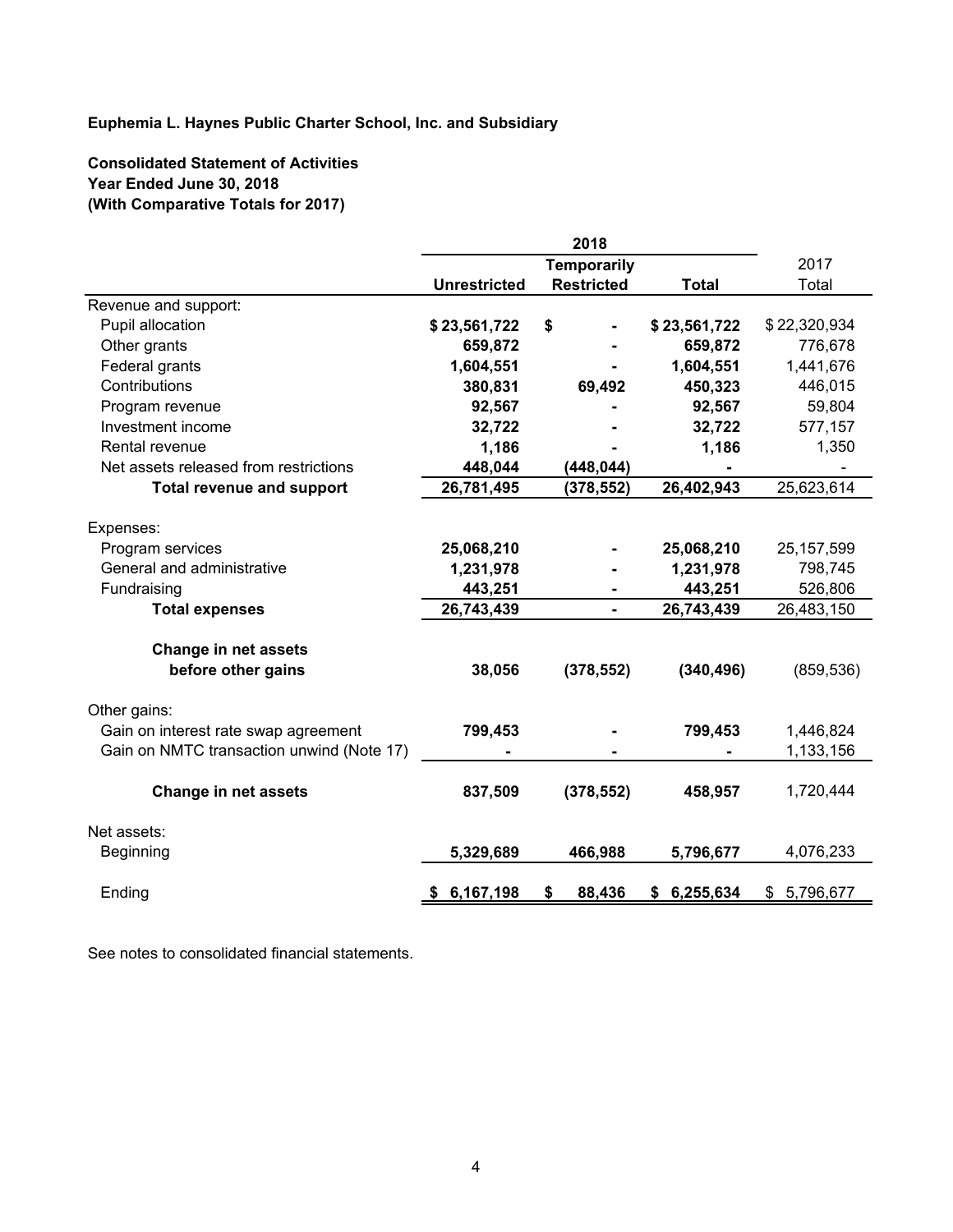# **Consolidated Statement of Activities Year Ended June 30, 2018 (With Comparative Totals for 2017)**

|                                           |                     | 2018               |              |              |
|-------------------------------------------|---------------------|--------------------|--------------|--------------|
|                                           |                     | <b>Temporarily</b> |              | 2017         |
|                                           | <b>Unrestricted</b> | <b>Restricted</b>  | <b>Total</b> | Total        |
| Revenue and support:                      |                     |                    |              |              |
| Pupil allocation                          | \$23,561,722        | \$                 | \$23,561,722 | \$22,320,934 |
| Other grants                              | 659,872             |                    | 659,872      | 776,678      |
| Federal grants                            | 1,604,551           |                    | 1,604,551    | 1,441,676    |
| Contributions                             | 380,831             | 69,492             | 450,323      | 446,015      |
| Program revenue                           | 92,567              |                    | 92,567       | 59,804       |
| Investment income                         | 32,722              |                    | 32,722       | 577,157      |
| Rental revenue                            | 1,186               |                    | 1,186        | 1,350        |
| Net assets released from restrictions     | 448,044             | (448, 044)         |              |              |
| <b>Total revenue and support</b>          | 26,781,495          | (378, 552)         | 26,402,943   | 25,623,614   |
|                                           |                     |                    |              |              |
| Expenses:                                 |                     |                    |              |              |
| Program services                          | 25,068,210          |                    | 25,068,210   | 25, 157, 599 |
| General and administrative                | 1,231,978           |                    | 1,231,978    | 798,745      |
| Fundraising                               | 443,251             |                    | 443,251      | 526,806      |
| <b>Total expenses</b>                     | 26,743,439          |                    | 26,743,439   | 26,483,150   |
| Change in net assets                      |                     |                    |              |              |
| before other gains                        | 38,056              | (378, 552)         | (340, 496)   | (859, 536)   |
| Other gains:                              |                     |                    |              |              |
| Gain on interest rate swap agreement      | 799,453             |                    | 799,453      | 1,446,824    |
| Gain on NMTC transaction unwind (Note 17) |                     |                    |              | 1,133,156    |
| <b>Change in net assets</b>               | 837,509             | (378, 552)         | 458,957      | 1,720,444    |
| Net assets:                               |                     |                    |              |              |
| Beginning                                 | 5,329,689           | 466,988            | 5,796,677    | 4,076,233    |
| Ending                                    | \$6,167,198         | 88,436<br>\$       | \$6,255,634  | \$ 5,796,677 |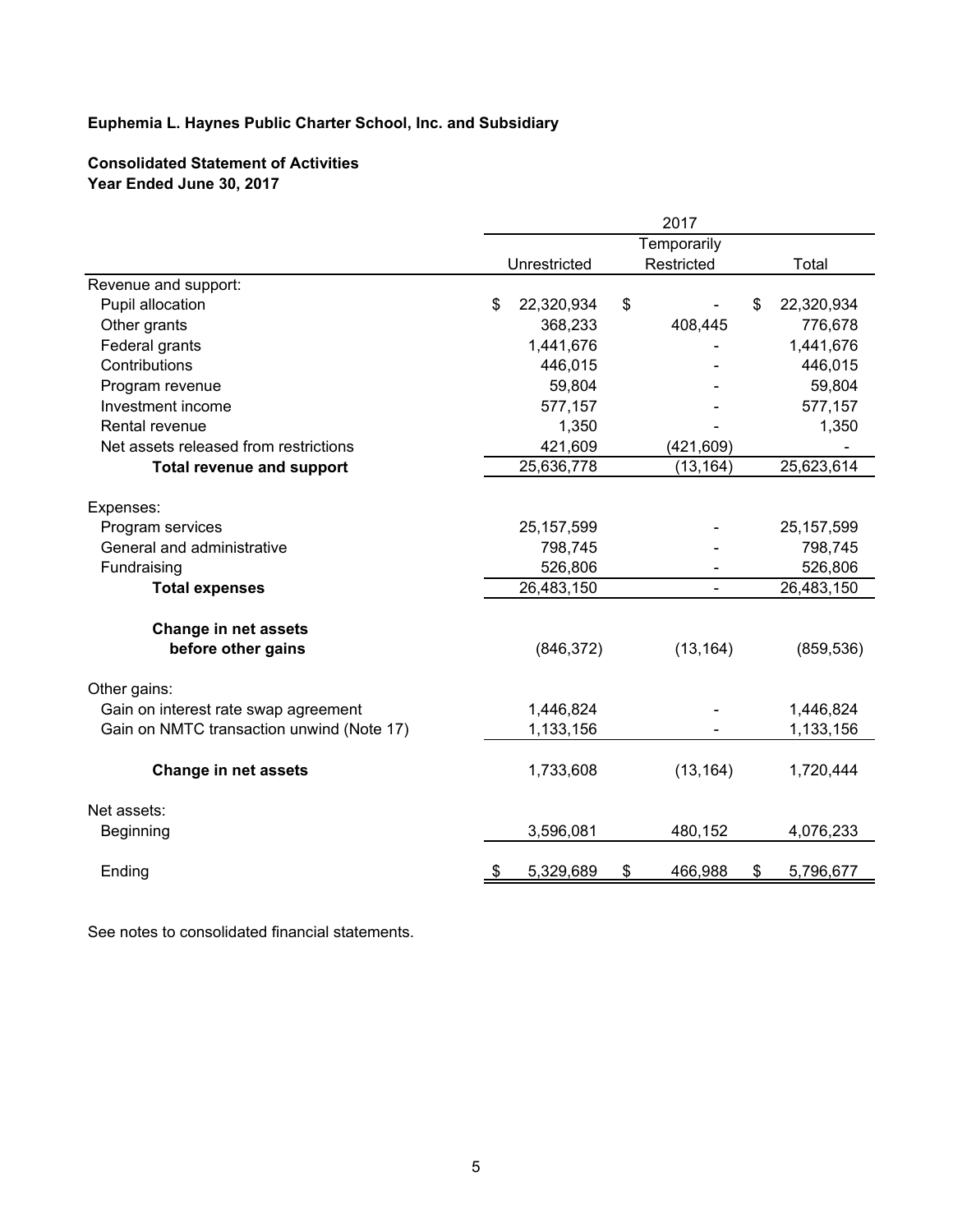# **Consolidated Statement of Activities Year Ended June 30, 2017**

|                                           | 2017 |              |    |             |                  |
|-------------------------------------------|------|--------------|----|-------------|------------------|
|                                           |      |              |    | Temporarily |                  |
|                                           |      | Unrestricted |    | Restricted  | Total            |
| Revenue and support:                      |      |              |    |             |                  |
| Pupil allocation                          | \$   | 22,320,934   | \$ |             | \$<br>22,320,934 |
| Other grants                              |      | 368,233      |    | 408,445     | 776,678          |
| Federal grants                            |      | 1,441,676    |    |             | 1,441,676        |
| Contributions                             |      | 446,015      |    |             | 446,015          |
| Program revenue                           |      | 59,804       |    |             | 59,804           |
| Investment income                         |      | 577,157      |    |             | 577,157          |
| Rental revenue                            |      | 1,350        |    |             | 1,350            |
| Net assets released from restrictions     |      | 421,609      |    | (421,609)   |                  |
| <b>Total revenue and support</b>          |      | 25,636,778   |    | (13, 164)   | 25,623,614       |
|                                           |      |              |    |             |                  |
| Expenses:                                 |      |              |    |             |                  |
| Program services                          |      | 25, 157, 599 |    |             | 25, 157, 599     |
| General and administrative                |      | 798,745      |    |             | 798,745          |
| Fundraising                               |      | 526,806      |    |             | 526,806          |
| <b>Total expenses</b>                     |      | 26,483,150   |    |             | 26,483,150       |
| <b>Change in net assets</b>               |      |              |    |             |                  |
| before other gains                        |      | (846, 372)   |    | (13, 164)   | (859, 536)       |
| Other gains:                              |      |              |    |             |                  |
| Gain on interest rate swap agreement      |      | 1,446,824    |    |             | 1,446,824        |
| Gain on NMTC transaction unwind (Note 17) |      | 1,133,156    |    |             | 1,133,156        |
| <b>Change in net assets</b>               |      | 1,733,608    |    | (13, 164)   | 1,720,444        |
| Net assets:                               |      |              |    |             |                  |
| <b>Beginning</b>                          |      | 3,596,081    |    | 480,152     | 4,076,233        |
| Ending                                    | \$   | 5,329,689    | \$ | 466,988     | \$<br>5,796,677  |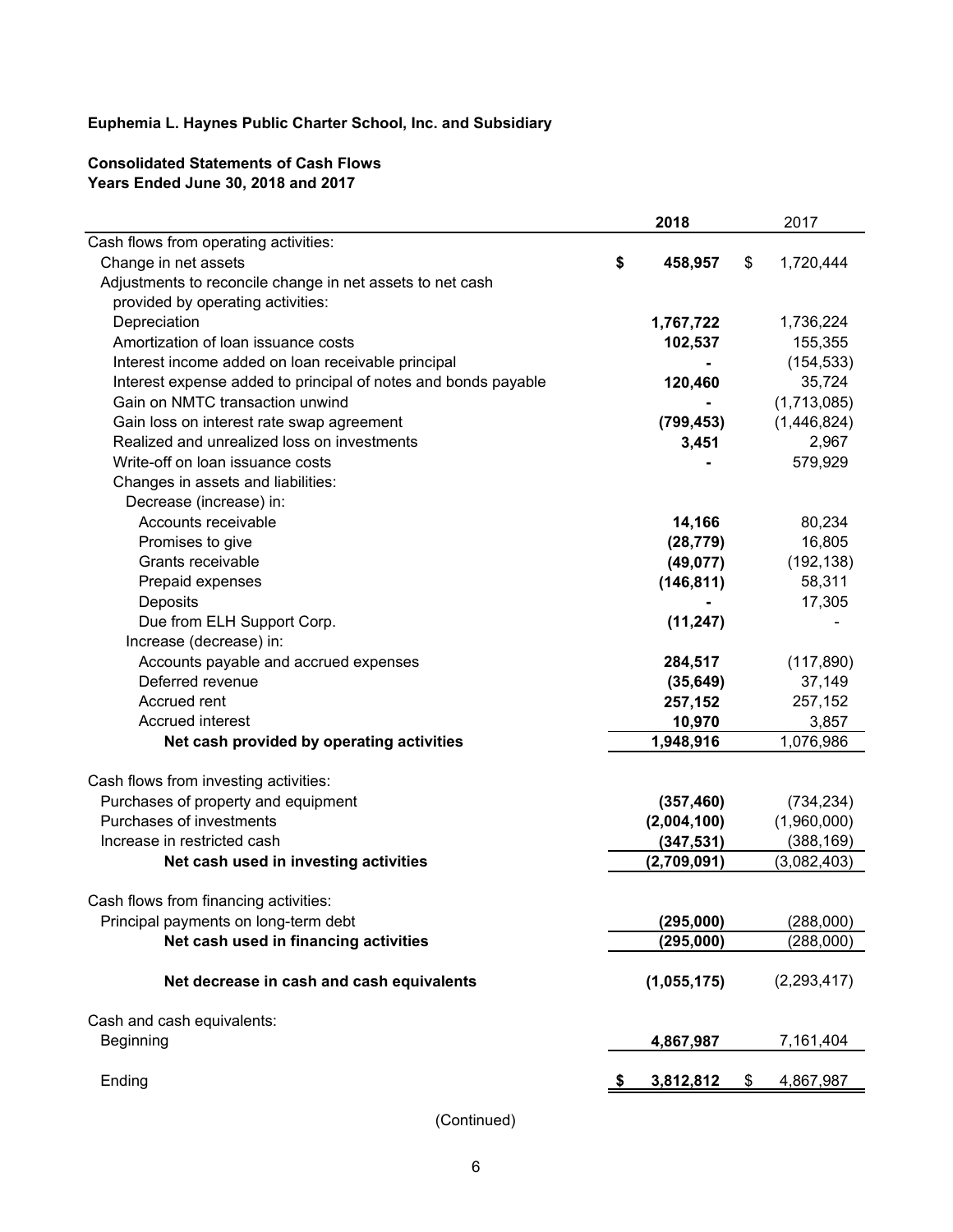# **Consolidated Statements of Cash Flows Years Ended June 30, 2018 and 2017**

|                                                                | 2018          | 2017            |
|----------------------------------------------------------------|---------------|-----------------|
| Cash flows from operating activities:                          |               |                 |
| Change in net assets                                           | \$<br>458,957 | \$<br>1,720,444 |
| Adjustments to reconcile change in net assets to net cash      |               |                 |
| provided by operating activities:                              |               |                 |
| Depreciation                                                   | 1,767,722     | 1,736,224       |
| Amortization of loan issuance costs                            | 102,537       | 155,355         |
| Interest income added on loan receivable principal             |               | (154, 533)      |
| Interest expense added to principal of notes and bonds payable | 120,460       | 35,724          |
| Gain on NMTC transaction unwind                                |               | (1,713,085)     |
| Gain loss on interest rate swap agreement                      | (799, 453)    | (1,446,824)     |
| Realized and unrealized loss on investments                    | 3,451         | 2,967           |
| Write-off on loan issuance costs                               |               | 579,929         |
| Changes in assets and liabilities:                             |               |                 |
| Decrease (increase) in:                                        |               |                 |
| Accounts receivable                                            | 14,166        | 80,234          |
| Promises to give                                               | (28, 779)     | 16,805          |
| Grants receivable                                              | (49, 077)     | (192, 138)      |
| Prepaid expenses                                               | (146, 811)    | 58,311          |
| Deposits                                                       |               | 17,305          |
| Due from ELH Support Corp.                                     | (11, 247)     |                 |
| Increase (decrease) in:                                        |               |                 |
| Accounts payable and accrued expenses                          | 284,517       | (117, 890)      |
| Deferred revenue                                               | (35, 649)     | 37,149          |
| Accrued rent                                                   | 257,152       | 257,152         |
| Accrued interest                                               | 10,970        | 3,857           |
| Net cash provided by operating activities                      | 1,948,916     | 1,076,986       |
|                                                                |               |                 |
| Cash flows from investing activities:                          |               |                 |
| Purchases of property and equipment                            | (357, 460)    | (734, 234)      |
| Purchases of investments                                       | (2,004,100)   | (1,960,000)     |
| Increase in restricted cash                                    | (347, 531)    | (388, 169)      |
| Net cash used in investing activities                          | (2,709,091)   | (3,082,403)     |
|                                                                |               |                 |
| Cash flows from financing activities:                          |               |                 |
| Principal payments on long-term debt                           | (295,000)     | (288,000)       |
| Net cash used in financing activities                          | (295,000)     | (288,000)       |
|                                                                |               |                 |
| Net decrease in cash and cash equivalents                      | (1,055,175)   | (2, 293, 417)   |
| Cash and cash equivalents:                                     |               |                 |
| Beginning                                                      | 4,867,987     | 7,161,404       |
|                                                                |               |                 |
| Ending                                                         | 3,812,812     | \$<br>4,867,987 |
|                                                                |               |                 |

(Continued)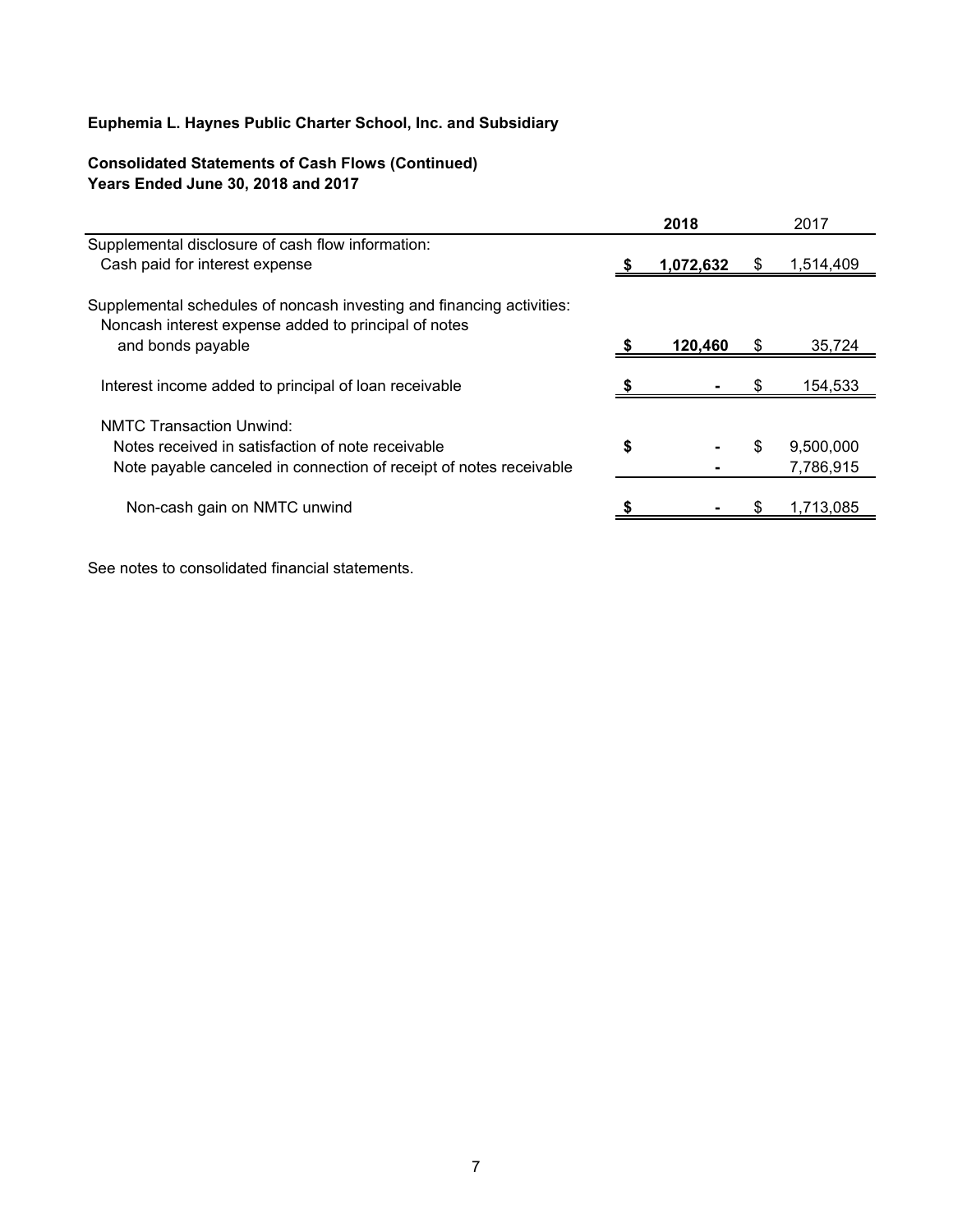# **Consolidated Statements of Cash Flows (Continued) Years Ended June 30, 2018 and 2017**

|                                                                                                                                                     | 2018      |   | 2017                   |
|-----------------------------------------------------------------------------------------------------------------------------------------------------|-----------|---|------------------------|
| Supplemental disclosure of cash flow information:                                                                                                   |           |   |                        |
| Cash paid for interest expense                                                                                                                      | 1,072,632 |   | 1,514,409              |
| Supplemental schedules of noncash investing and financing activities:<br>Noncash interest expense added to principal of notes<br>and bonds payable  | 120,460   |   | 35,724                 |
|                                                                                                                                                     |           |   |                        |
| Interest income added to principal of loan receivable                                                                                               |           |   | 154,533                |
| NMTC Transaction Unwind:<br>Notes received in satisfaction of note receivable<br>Note payable canceled in connection of receipt of notes receivable | \$        | S | 9,500,000<br>7,786,915 |
| Non-cash gain on NMTC unwind                                                                                                                        |           |   | 1,713,085              |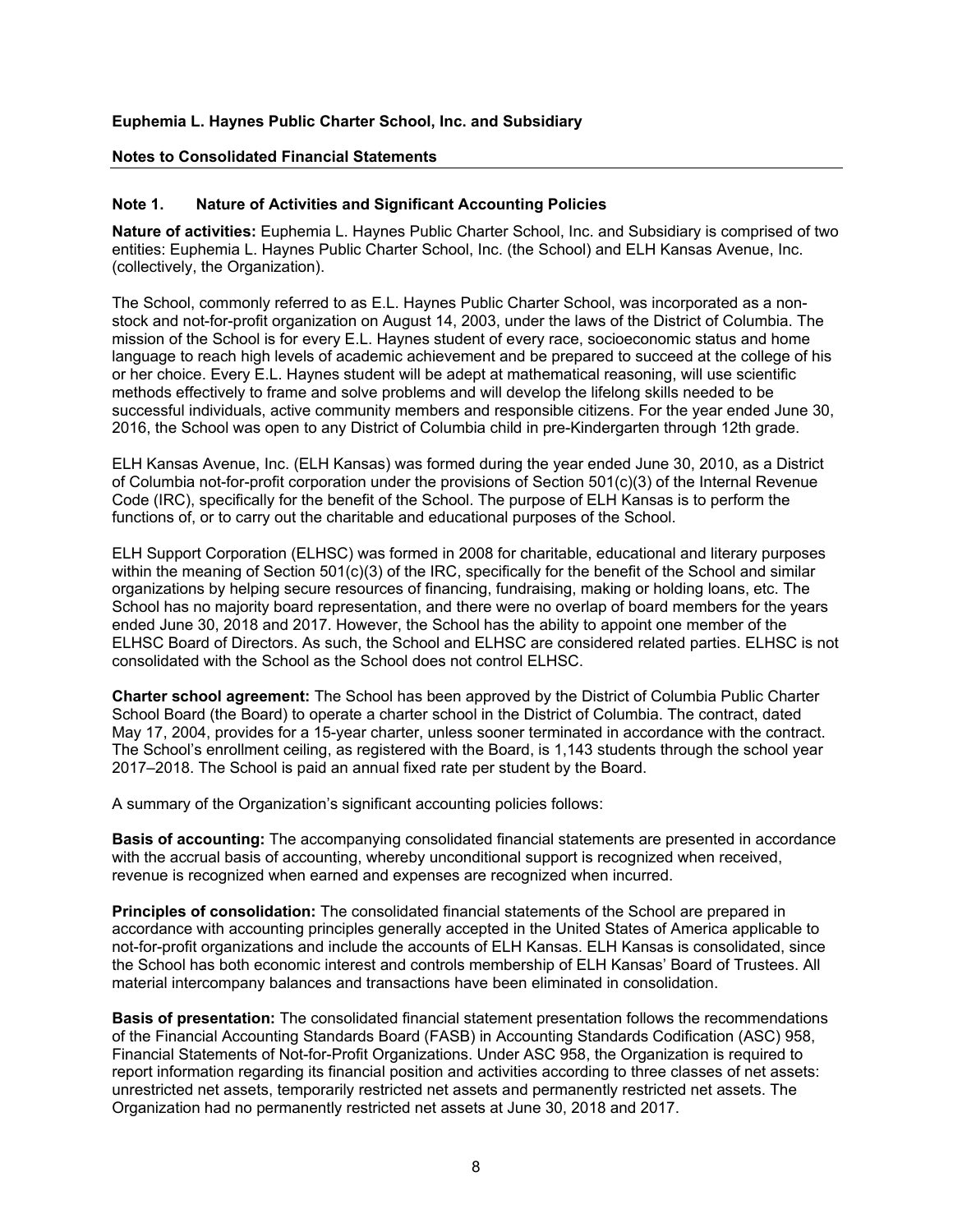#### **Notes to Consolidated Financial Statements**

#### **Note 1. Nature of Activities and Significant Accounting Policies**

**Nature of activities:** Euphemia L. Haynes Public Charter School, Inc. and Subsidiary is comprised of two entities: Euphemia L. Haynes Public Charter School, Inc. (the School) and ELH Kansas Avenue, Inc. (collectively, the Organization).

The School, commonly referred to as E.L. Haynes Public Charter School, was incorporated as a nonstock and not-for-profit organization on August 14, 2003, under the laws of the District of Columbia. The mission of the School is for every E.L. Haynes student of every race, socioeconomic status and home language to reach high levels of academic achievement and be prepared to succeed at the college of his or her choice. Every E.L. Haynes student will be adept at mathematical reasoning, will use scientific methods effectively to frame and solve problems and will develop the lifelong skills needed to be successful individuals, active community members and responsible citizens. For the year ended June 30, 2016, the School was open to any District of Columbia child in pre-Kindergarten through 12th grade.

ELH Kansas Avenue, Inc. (ELH Kansas) was formed during the year ended June 30, 2010, as a District of Columbia not-for-profit corporation under the provisions of Section 501(c)(3) of the Internal Revenue Code (IRC), specifically for the benefit of the School. The purpose of ELH Kansas is to perform the functions of, or to carry out the charitable and educational purposes of the School.

ELH Support Corporation (ELHSC) was formed in 2008 for charitable, educational and literary purposes within the meaning of Section 501(c)(3) of the IRC, specifically for the benefit of the School and similar organizations by helping secure resources of financing, fundraising, making or holding loans, etc. The School has no majority board representation, and there were no overlap of board members for the years ended June 30, 2018 and 2017. However, the School has the ability to appoint one member of the ELHSC Board of Directors. As such, the School and ELHSC are considered related parties. ELHSC is not consolidated with the School as the School does not control ELHSC.

**Charter school agreement:** The School has been approved by the District of Columbia Public Charter School Board (the Board) to operate a charter school in the District of Columbia. The contract, dated May 17, 2004, provides for a 15-year charter, unless sooner terminated in accordance with the contract. The School's enrollment ceiling, as registered with the Board, is 1,143 students through the school year 2017–2018. The School is paid an annual fixed rate per student by the Board.

A summary of the Organization's significant accounting policies follows:

**Basis of accounting:** The accompanying consolidated financial statements are presented in accordance with the accrual basis of accounting, whereby unconditional support is recognized when received, revenue is recognized when earned and expenses are recognized when incurred.

**Principles of consolidation:** The consolidated financial statements of the School are prepared in accordance with accounting principles generally accepted in the United States of America applicable to not-for-profit organizations and include the accounts of ELH Kansas. ELH Kansas is consolidated, since the School has both economic interest and controls membership of ELH Kansas' Board of Trustees. All material intercompany balances and transactions have been eliminated in consolidation.

**Basis of presentation:** The consolidated financial statement presentation follows the recommendations of the Financial Accounting Standards Board (FASB) in Accounting Standards Codification (ASC) 958, Financial Statements of Not-for-Profit Organizations. Under ASC 958, the Organization is required to report information regarding its financial position and activities according to three classes of net assets: unrestricted net assets, temporarily restricted net assets and permanently restricted net assets. The Organization had no permanently restricted net assets at June 30, 2018 and 2017.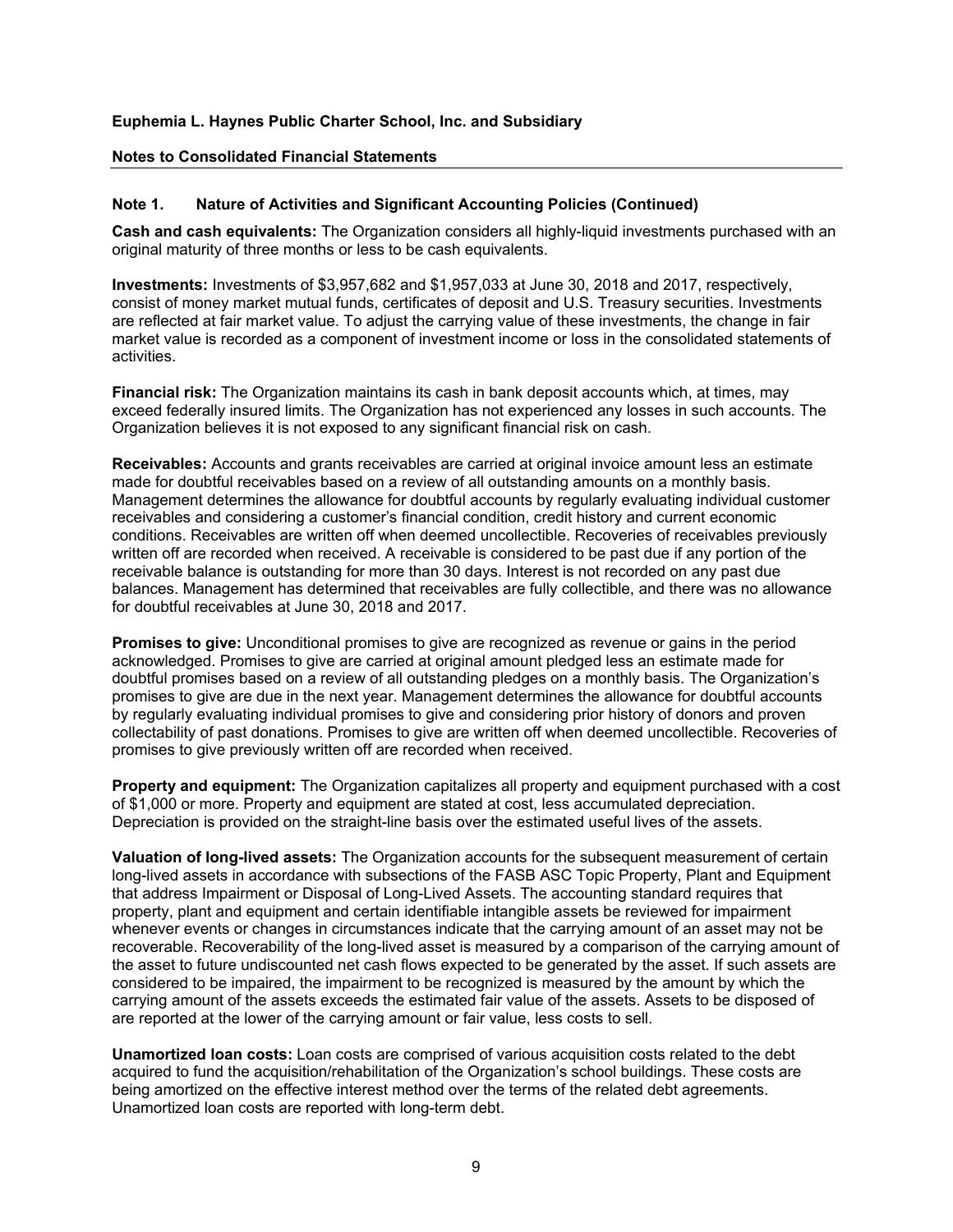#### **Notes to Consolidated Financial Statements**

#### **Note 1. Nature of Activities and Significant Accounting Policies (Continued)**

**Cash and cash equivalents:** The Organization considers all highly-liquid investments purchased with an original maturity of three months or less to be cash equivalents.

**Investments:** Investments of \$3,957,682 and \$1,957,033 at June 30, 2018 and 2017, respectively, consist of money market mutual funds, certificates of deposit and U.S. Treasury securities. Investments are reflected at fair market value. To adjust the carrying value of these investments, the change in fair market value is recorded as a component of investment income or loss in the consolidated statements of activities.

**Financial risk:** The Organization maintains its cash in bank deposit accounts which, at times, may exceed federally insured limits. The Organization has not experienced any losses in such accounts. The Organization believes it is not exposed to any significant financial risk on cash.

**Receivables:** Accounts and grants receivables are carried at original invoice amount less an estimate made for doubtful receivables based on a review of all outstanding amounts on a monthly basis. Management determines the allowance for doubtful accounts by regularly evaluating individual customer receivables and considering a customer's financial condition, credit history and current economic conditions. Receivables are written off when deemed uncollectible. Recoveries of receivables previously written off are recorded when received. A receivable is considered to be past due if any portion of the receivable balance is outstanding for more than 30 days. Interest is not recorded on any past due balances. Management has determined that receivables are fully collectible, and there was no allowance for doubtful receivables at June 30, 2018 and 2017.

**Promises to give:** Unconditional promises to give are recognized as revenue or gains in the period acknowledged. Promises to give are carried at original amount pledged less an estimate made for doubtful promises based on a review of all outstanding pledges on a monthly basis. The Organization's promises to give are due in the next year. Management determines the allowance for doubtful accounts by regularly evaluating individual promises to give and considering prior history of donors and proven collectability of past donations. Promises to give are written off when deemed uncollectible. Recoveries of promises to give previously written off are recorded when received.

**Property and equipment:** The Organization capitalizes all property and equipment purchased with a cost of \$1,000 or more. Property and equipment are stated at cost, less accumulated depreciation. Depreciation is provided on the straight-line basis over the estimated useful lives of the assets.

**Valuation of long-lived assets:** The Organization accounts for the subsequent measurement of certain long-lived assets in accordance with subsections of the FASB ASC Topic Property, Plant and Equipment that address Impairment or Disposal of Long-Lived Assets. The accounting standard requires that property, plant and equipment and certain identifiable intangible assets be reviewed for impairment whenever events or changes in circumstances indicate that the carrying amount of an asset may not be recoverable. Recoverability of the long-lived asset is measured by a comparison of the carrying amount of the asset to future undiscounted net cash flows expected to be generated by the asset. If such assets are considered to be impaired, the impairment to be recognized is measured by the amount by which the carrying amount of the assets exceeds the estimated fair value of the assets. Assets to be disposed of are reported at the lower of the carrying amount or fair value, less costs to sell.

**Unamortized loan costs:** Loan costs are comprised of various acquisition costs related to the debt acquired to fund the acquisition/rehabilitation of the Organization's school buildings. These costs are being amortized on the effective interest method over the terms of the related debt agreements. Unamortized loan costs are reported with long-term debt.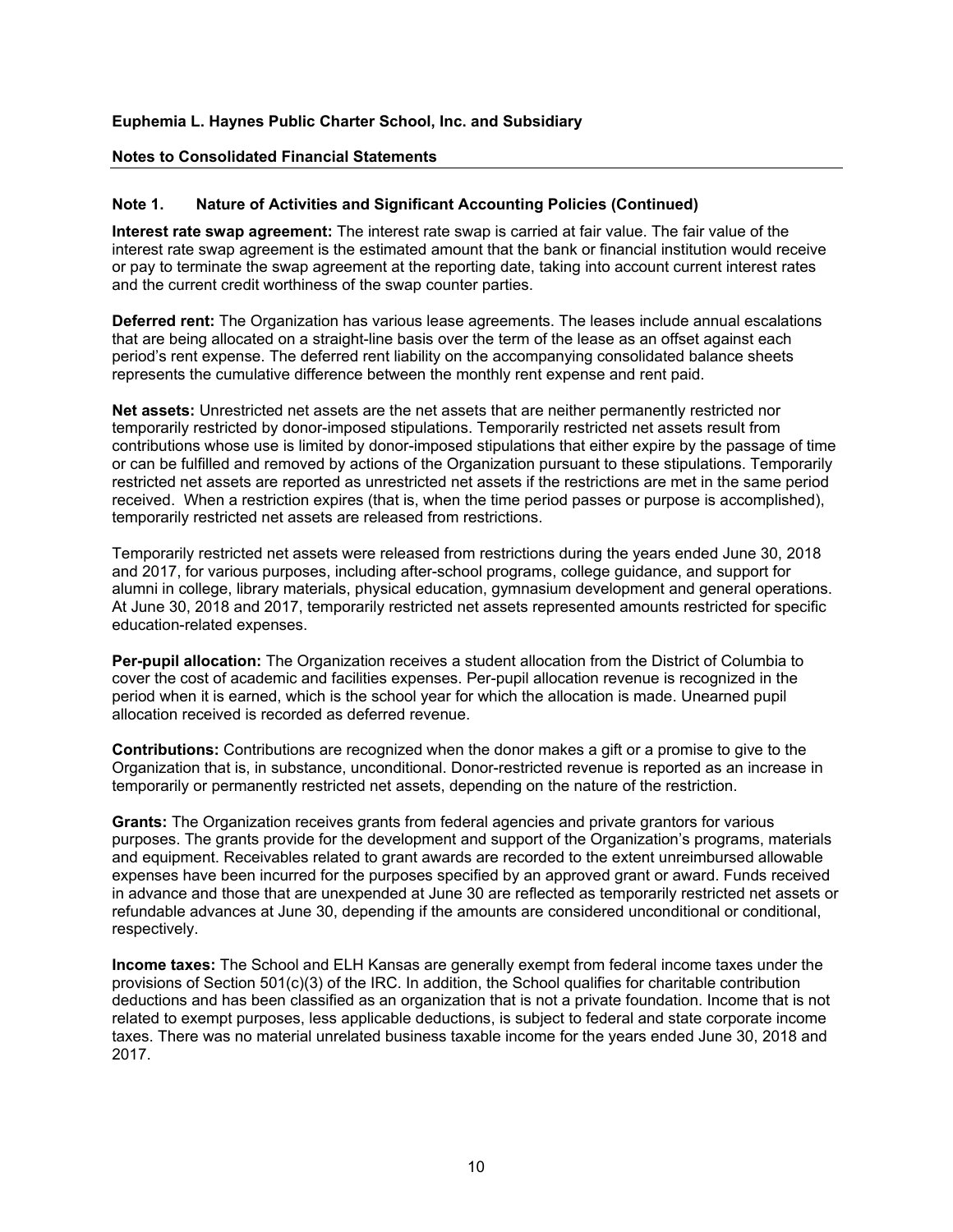#### **Notes to Consolidated Financial Statements**

#### **Note 1. Nature of Activities and Significant Accounting Policies (Continued)**

**Interest rate swap agreement:** The interest rate swap is carried at fair value. The fair value of the interest rate swap agreement is the estimated amount that the bank or financial institution would receive or pay to terminate the swap agreement at the reporting date, taking into account current interest rates and the current credit worthiness of the swap counter parties.

**Deferred rent:** The Organization has various lease agreements. The leases include annual escalations that are being allocated on a straight-line basis over the term of the lease as an offset against each period's rent expense. The deferred rent liability on the accompanying consolidated balance sheets represents the cumulative difference between the monthly rent expense and rent paid.

**Net assets:** Unrestricted net assets are the net assets that are neither permanently restricted nor temporarily restricted by donor-imposed stipulations. Temporarily restricted net assets result from contributions whose use is limited by donor-imposed stipulations that either expire by the passage of time or can be fulfilled and removed by actions of the Organization pursuant to these stipulations. Temporarily restricted net assets are reported as unrestricted net assets if the restrictions are met in the same period received. When a restriction expires (that is, when the time period passes or purpose is accomplished), temporarily restricted net assets are released from restrictions.

Temporarily restricted net assets were released from restrictions during the years ended June 30, 2018 and 2017, for various purposes, including after-school programs, college guidance, and support for alumni in college, library materials, physical education, gymnasium development and general operations. At June 30, 2018 and 2017, temporarily restricted net assets represented amounts restricted for specific education-related expenses.

**Per-pupil allocation:** The Organization receives a student allocation from the District of Columbia to cover the cost of academic and facilities expenses. Per-pupil allocation revenue is recognized in the period when it is earned, which is the school year for which the allocation is made. Unearned pupil allocation received is recorded as deferred revenue.

**Contributions:** Contributions are recognized when the donor makes a gift or a promise to give to the Organization that is, in substance, unconditional. Donor-restricted revenue is reported as an increase in temporarily or permanently restricted net assets, depending on the nature of the restriction.

**Grants:** The Organization receives grants from federal agencies and private grantors for various purposes. The grants provide for the development and support of the Organization's programs, materials and equipment. Receivables related to grant awards are recorded to the extent unreimbursed allowable expenses have been incurred for the purposes specified by an approved grant or award. Funds received in advance and those that are unexpended at June 30 are reflected as temporarily restricted net assets or refundable advances at June 30, depending if the amounts are considered unconditional or conditional, respectively.

**Income taxes:** The School and ELH Kansas are generally exempt from federal income taxes under the provisions of Section 501(c)(3) of the IRC. In addition, the School qualifies for charitable contribution deductions and has been classified as an organization that is not a private foundation. Income that is not related to exempt purposes, less applicable deductions, is subject to federal and state corporate income taxes. There was no material unrelated business taxable income for the years ended June 30, 2018 and 2017.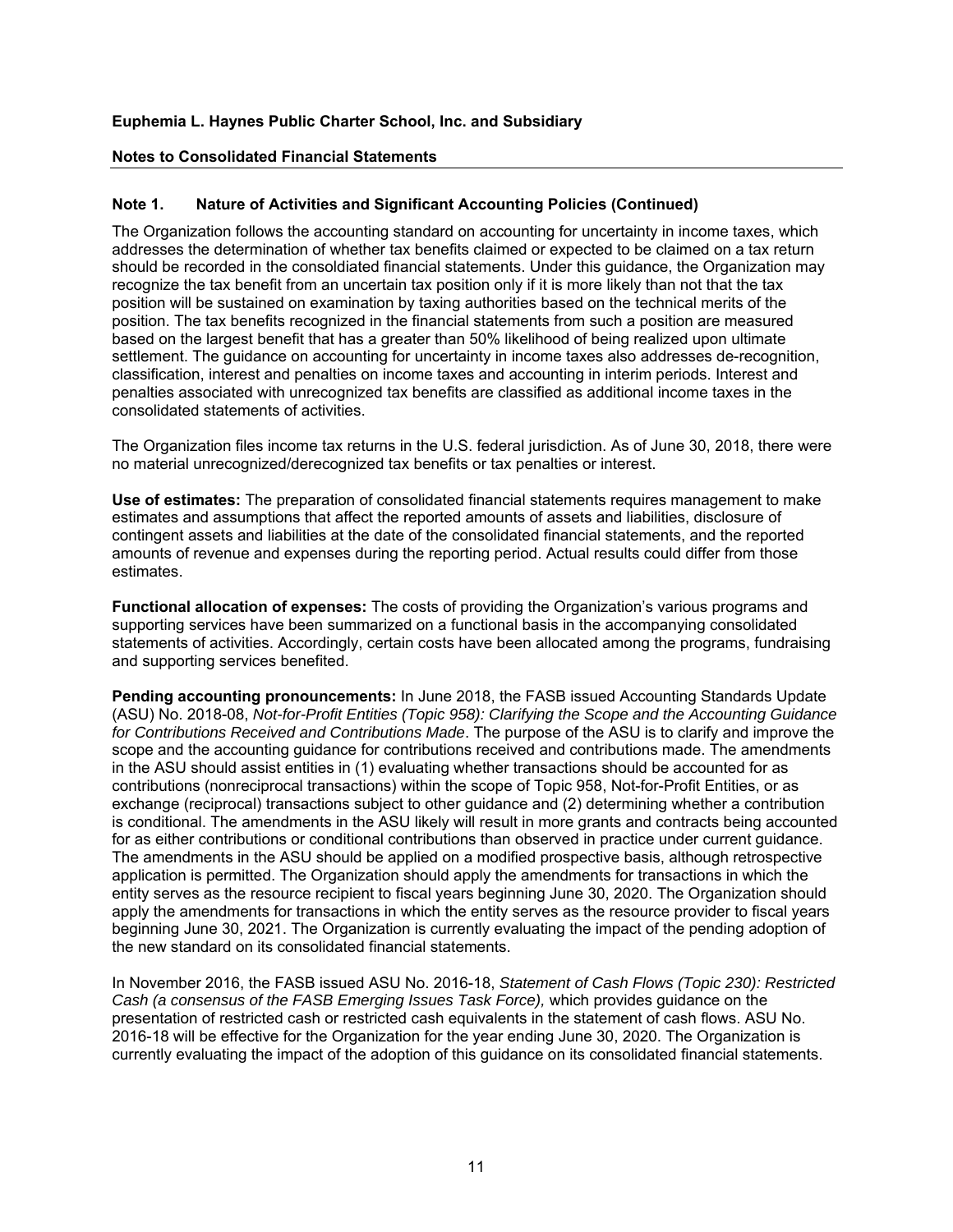#### **Notes to Consolidated Financial Statements**

#### **Note 1. Nature of Activities and Significant Accounting Policies (Continued)**

The Organization follows the accounting standard on accounting for uncertainty in income taxes, which addresses the determination of whether tax benefits claimed or expected to be claimed on a tax return should be recorded in the consoldiated financial statements. Under this guidance, the Organization may recognize the tax benefit from an uncertain tax position only if it is more likely than not that the tax position will be sustained on examination by taxing authorities based on the technical merits of the position. The tax benefits recognized in the financial statements from such a position are measured based on the largest benefit that has a greater than 50% likelihood of being realized upon ultimate settlement. The guidance on accounting for uncertainty in income taxes also addresses de-recognition, classification, interest and penalties on income taxes and accounting in interim periods. Interest and penalties associated with unrecognized tax benefits are classified as additional income taxes in the consolidated statements of activities.

The Organization files income tax returns in the U.S. federal jurisdiction. As of June 30, 2018, there were no material unrecognized/derecognized tax benefits or tax penalties or interest.

**Use of estimates:** The preparation of consolidated financial statements requires management to make estimates and assumptions that affect the reported amounts of assets and liabilities, disclosure of contingent assets and liabilities at the date of the consolidated financial statements, and the reported amounts of revenue and expenses during the reporting period. Actual results could differ from those estimates.

**Functional allocation of expenses:** The costs of providing the Organization's various programs and supporting services have been summarized on a functional basis in the accompanying consolidated statements of activities. Accordingly, certain costs have been allocated among the programs, fundraising and supporting services benefited.

**Pending accounting pronouncements:** In June 2018, the FASB issued Accounting Standards Update (ASU) No. 2018-08, *Not-for-Profit Entities (Topic 958): Clarifying the Scope and the Accounting Guidance for Contributions Received and Contributions Made*. The purpose of the ASU is to clarify and improve the scope and the accounting guidance for contributions received and contributions made. The amendments in the ASU should assist entities in (1) evaluating whether transactions should be accounted for as contributions (nonreciprocal transactions) within the scope of Topic 958, Not-for-Profit Entities, or as exchange (reciprocal) transactions subject to other guidance and (2) determining whether a contribution is conditional. The amendments in the ASU likely will result in more grants and contracts being accounted for as either contributions or conditional contributions than observed in practice under current guidance. The amendments in the ASU should be applied on a modified prospective basis, although retrospective application is permitted. The Organization should apply the amendments for transactions in which the entity serves as the resource recipient to fiscal years beginning June 30, 2020. The Organization should apply the amendments for transactions in which the entity serves as the resource provider to fiscal years beginning June 30, 2021. The Organization is currently evaluating the impact of the pending adoption of the new standard on its consolidated financial statements.

In November 2016, the FASB issued ASU No. 2016-18, *Statement of Cash Flows (Topic 230): Restricted Cash (a consensus of the FASB Emerging Issues Task Force),* which provides guidance on the presentation of restricted cash or restricted cash equivalents in the statement of cash flows. ASU No. 2016-18 will be effective for the Organization for the year ending June 30, 2020. The Organization is currently evaluating the impact of the adoption of this guidance on its consolidated financial statements.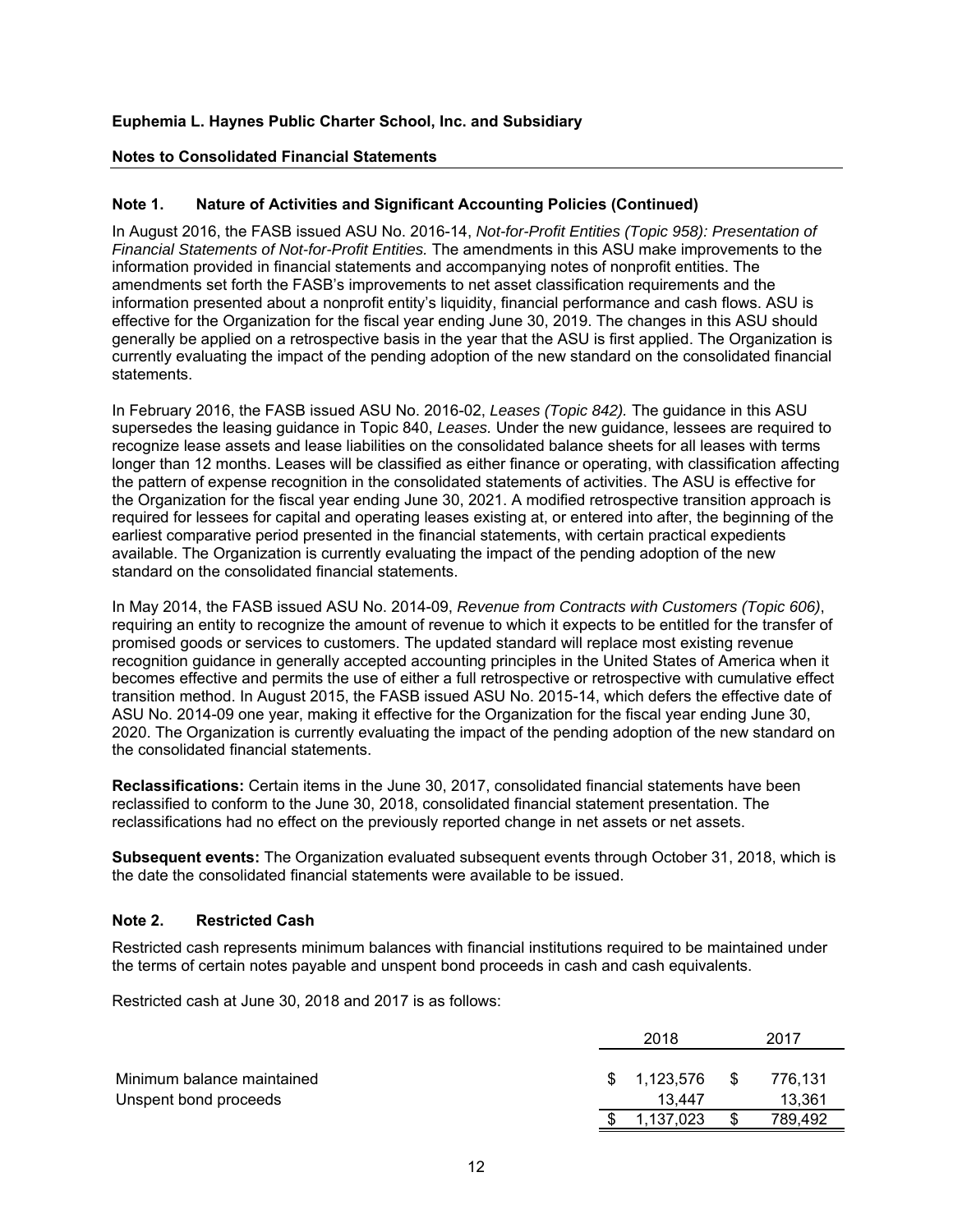#### **Notes to Consolidated Financial Statements**

#### **Note 1. Nature of Activities and Significant Accounting Policies (Continued)**

In August 2016, the FASB issued ASU No. 2016-14, *Not-for-Profit Entities (Topic 958): Presentation of Financial Statements of Not-for-Profit Entities.* The amendments in this ASU make improvements to the information provided in financial statements and accompanying notes of nonprofit entities. The amendments set forth the FASB's improvements to net asset classification requirements and the information presented about a nonprofit entity's liquidity, financial performance and cash flows. ASU is effective for the Organization for the fiscal year ending June 30, 2019. The changes in this ASU should generally be applied on a retrospective basis in the year that the ASU is first applied. The Organization is currently evaluating the impact of the pending adoption of the new standard on the consolidated financial statements.

In February 2016, the FASB issued ASU No. 2016-02, *Leases (Topic 842).* The guidance in this ASU supersedes the leasing guidance in Topic 840, *Leases.* Under the new guidance, lessees are required to recognize lease assets and lease liabilities on the consolidated balance sheets for all leases with terms longer than 12 months. Leases will be classified as either finance or operating, with classification affecting the pattern of expense recognition in the consolidated statements of activities. The ASU is effective for the Organization for the fiscal year ending June 30, 2021. A modified retrospective transition approach is required for lessees for capital and operating leases existing at, or entered into after, the beginning of the earliest comparative period presented in the financial statements, with certain practical expedients available. The Organization is currently evaluating the impact of the pending adoption of the new standard on the consolidated financial statements.

In May 2014, the FASB issued ASU No. 2014-09, *Revenue from Contracts with Customers (Topic 606)*, requiring an entity to recognize the amount of revenue to which it expects to be entitled for the transfer of promised goods or services to customers. The updated standard will replace most existing revenue recognition guidance in generally accepted accounting principles in the United States of America when it becomes effective and permits the use of either a full retrospective or retrospective with cumulative effect transition method. In August 2015, the FASB issued ASU No. 2015-14, which defers the effective date of ASU No. 2014-09 one year, making it effective for the Organization for the fiscal year ending June 30, 2020. The Organization is currently evaluating the impact of the pending adoption of the new standard on the consolidated financial statements.

**Reclassifications:** Certain items in the June 30, 2017, consolidated financial statements have been reclassified to conform to the June 30, 2018, consolidated financial statement presentation. The reclassifications had no effect on the previously reported change in net assets or net assets.

**Subsequent events:** The Organization evaluated subsequent events through October 31, 2018, which is the date the consolidated financial statements were available to be issued.

#### **Note 2. Restricted Cash**

Restricted cash represents minimum balances with financial institutions required to be maintained under the terms of certain notes payable and unspent bond proceeds in cash and cash equivalents.

Restricted cash at June 30, 2018 and 2017 is as follows:

|                                                     | 2018                  |   | 2017              |
|-----------------------------------------------------|-----------------------|---|-------------------|
| Minimum balance maintained<br>Unspent bond proceeds | \$1,123,576<br>13.447 | S | 776.131<br>13,361 |
|                                                     | l.137.023             |   | 789,492           |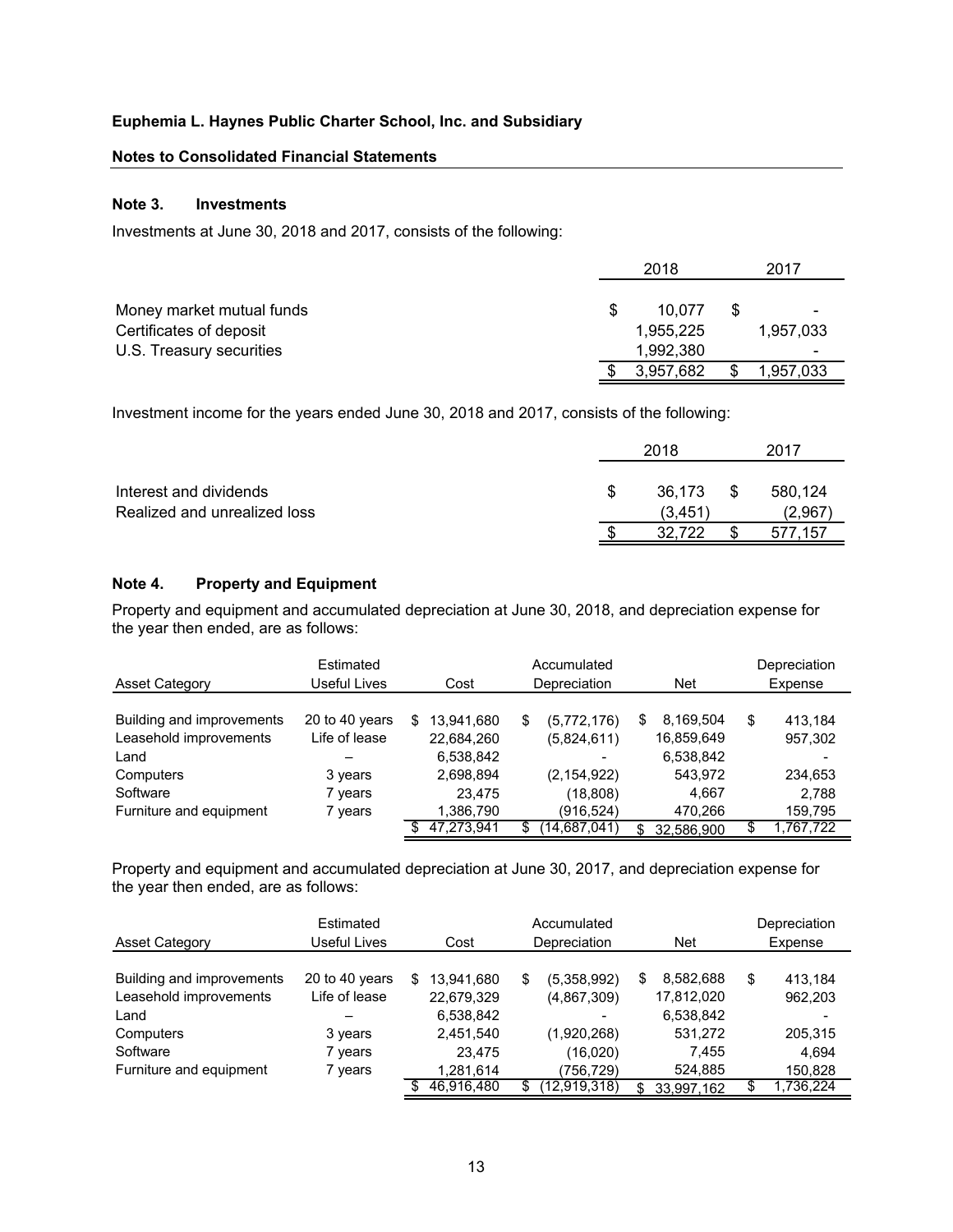#### **Notes to Consolidated Financial Statements**

#### **Note 3. Investments**

Investments at June 30, 2018 and 2017, consists of the following:

|                           | 2018      | 2017      |
|---------------------------|-----------|-----------|
|                           |           |           |
| Money market mutual funds | 10.077    |           |
| Certificates of deposit   | 1,955,225 | 1,957,033 |
| U.S. Treasury securities  | 1,992,380 |           |
|                           | 3,957,682 | 1,957,033 |

Investment income for the years ended June 30, 2018 and 2017, consists of the following:

|                                                        |     | 2018               | 2017                     |
|--------------------------------------------------------|-----|--------------------|--------------------------|
| Interest and dividends<br>Realized and unrealized loss | \$. | 36,173<br>(3, 451) | \$<br>580,124<br>(2,967) |
|                                                        |     |                    | .157                     |

#### **Note 4. Property and Equipment**

Property and equipment and accumulated depreciation at June 30, 2018, and depreciation expense for the year then ended, are as follows:

| <b>Asset Category</b>     | Estimated<br>Useful Lives | Cost            | Accumulated<br>Depreciation | Net               | Depreciation<br>Expense |       |
|---------------------------|---------------------------|-----------------|-----------------------------|-------------------|-------------------------|-------|
|                           |                           |                 |                             |                   |                         |       |
| Building and improvements | 20 to 40 years            | 13.941.680<br>S | (5,772,176)<br>\$           | 8,169,504<br>\$   | \$<br>413,184           |       |
| Leasehold improvements    | Life of lease             | 22,684,260      | (5,824,611)                 | 16,859,649        | 957,302                 |       |
| Land                      |                           | 6,538,842       |                             | 6,538,842         |                         |       |
| Computers                 | 3 years                   | 2,698,894       | (2, 154, 922)               | 543.972           | 234,653                 |       |
| Software                  | 7 years                   | 23.475          | (18, 808)                   | 4.667             |                         | 2,788 |
| Furniture and equipment   | 7 years                   | 1,386,790       | (916,524)                   | 470.266           | 159,795                 |       |
|                           |                           | 47,273,941      | (14.687.041)<br>\$          | 32,586,900<br>\$. | 1,767,722               |       |

Property and equipment and accumulated depreciation at June 30, 2017, and depreciation expense for the year then ended, are as follows:

| <b>Asset Category</b>                               | Estimated<br>Useful Lives       | Cost                          | Accumulated<br>Depreciation     | Net                          | Depreciation<br>Expense  |
|-----------------------------------------------------|---------------------------------|-------------------------------|---------------------------------|------------------------------|--------------------------|
| Building and improvements<br>Leasehold improvements | 20 to 40 years<br>Life of lease | 13.941.680<br>S<br>22,679,329 | (5,358,992)<br>S<br>(4,867,309) | 8,582,688<br>S<br>17,812,020 | 413.184<br>\$<br>962,203 |
| Land<br>Computers                                   | 3 years                         | 6,538,842<br>2,451,540        | (1,920,268)                     | 6,538,842<br>531,272         | 205,315                  |
| Software<br>Furniture and equipment                 | 7 years<br>7 years              | 23,475<br>1,281,614           | (16,020)<br>756,729)            | 7.455<br>524,885             | 4.694<br>150,828         |
|                                                     |                                 | 46,916,480                    | (12,919,318)                    | 33,997,162<br>\$             | 1,736,224<br>P           |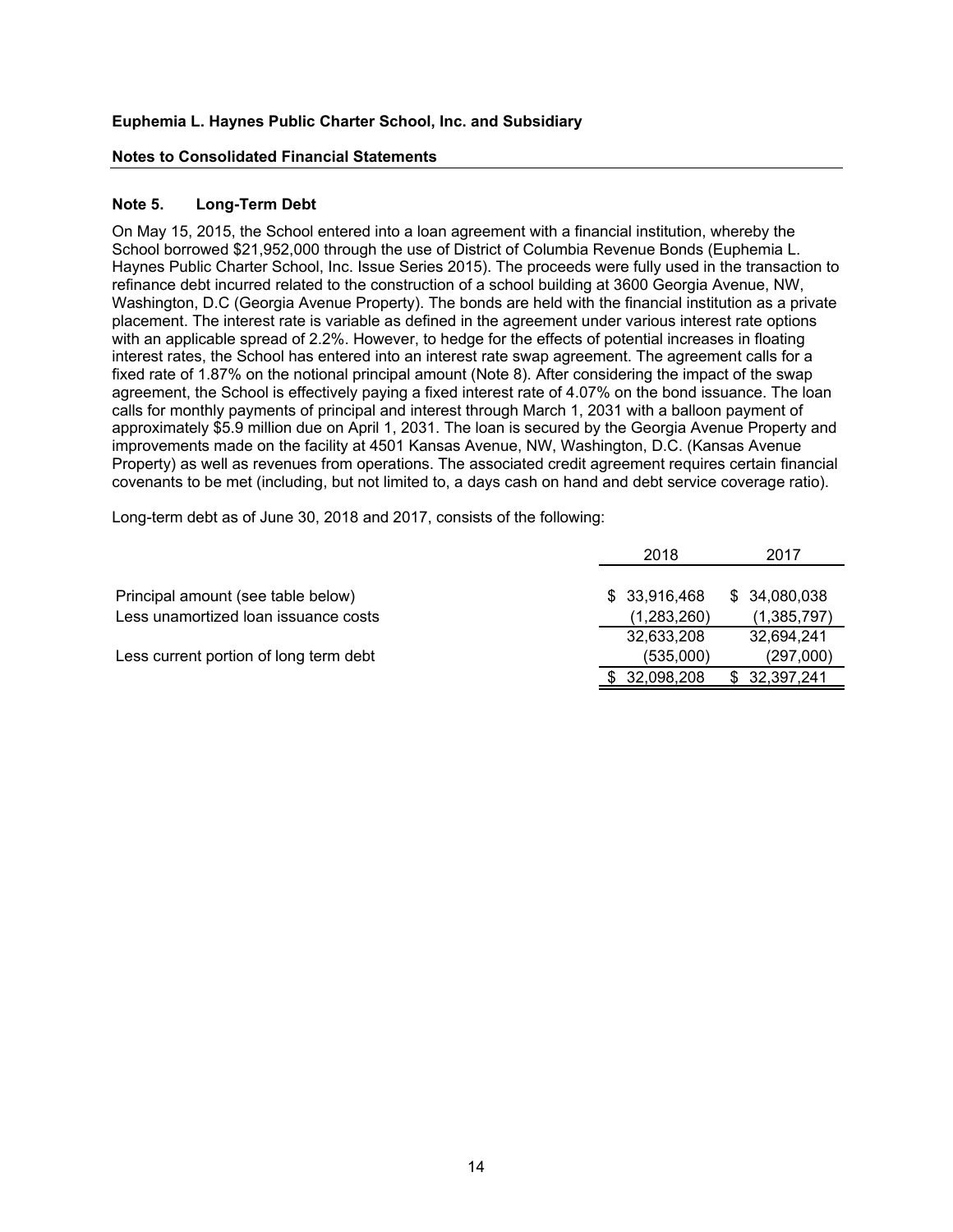#### **Notes to Consolidated Financial Statements**

#### **Note 5. Long-Term Debt**

On May 15, 2015, the School entered into a loan agreement with a financial institution, whereby the School borrowed \$21,952,000 through the use of District of Columbia Revenue Bonds (Euphemia L. Haynes Public Charter School, Inc. Issue Series 2015). The proceeds were fully used in the transaction to refinance debt incurred related to the construction of a school building at 3600 Georgia Avenue, NW, Washington, D.C (Georgia Avenue Property). The bonds are held with the financial institution as a private placement. The interest rate is variable as defined in the agreement under various interest rate options with an applicable spread of 2.2%. However, to hedge for the effects of potential increases in floating interest rates, the School has entered into an interest rate swap agreement. The agreement calls for a fixed rate of 1.87% on the notional principal amount (Note 8). After considering the impact of the swap agreement, the School is effectively paying a fixed interest rate of 4.07% on the bond issuance. The loan calls for monthly payments of principal and interest through March 1, 2031 with a balloon payment of approximately \$5.9 million due on April 1, 2031. The loan is secured by the Georgia Avenue Property and improvements made on the facility at 4501 Kansas Avenue, NW, Washington, D.C. (Kansas Avenue Property) as well as revenues from operations. The associated credit agreement requires certain financial covenants to be met (including, but not limited to, a days cash on hand and debt service coverage ratio).

Long-term debt as of June 30, 2018 and 2017, consists of the following:

|                                        | 2018          | 2017         |
|----------------------------------------|---------------|--------------|
| Principal amount (see table below)     | \$ 33,916,468 | \$34,080,038 |
| Less unamortized loan issuance costs   | (1,283,260)   | (1,385,797)  |
|                                        | 32,633,208    | 32,694,241   |
| Less current portion of long term debt | (535,000)     | (297,000)    |
|                                        | 32,098,208    | 32,397,241   |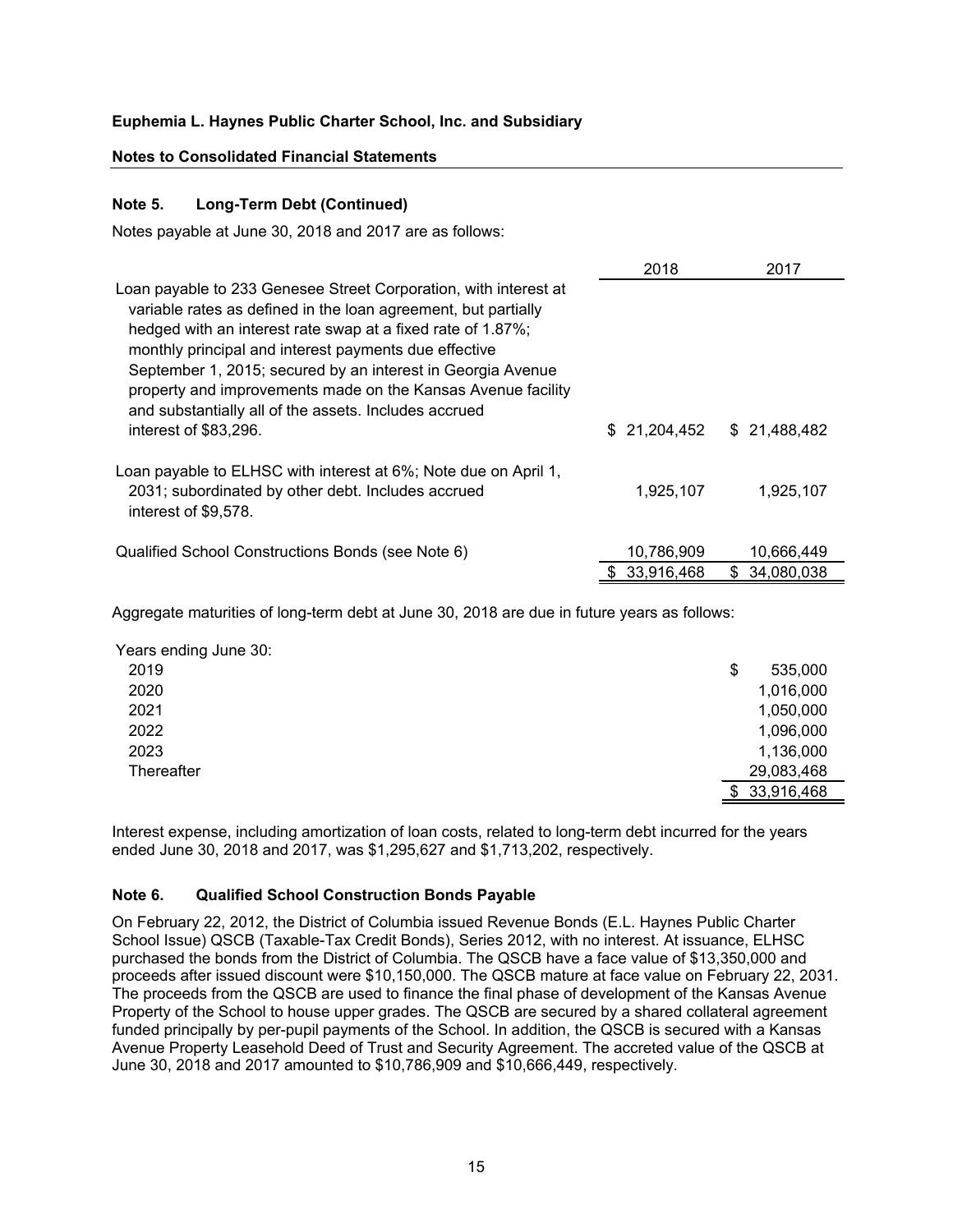#### **Notes to Consolidated Financial Statements**

# **Note 5. Long-Term Debt (Continued)**

Notes payable at June 30, 2018 and 2017 are as follows:

|                                                                                                                                                                                                                                                                                                                                                                                                                                                                             | 2018                     | 2017                           |
|-----------------------------------------------------------------------------------------------------------------------------------------------------------------------------------------------------------------------------------------------------------------------------------------------------------------------------------------------------------------------------------------------------------------------------------------------------------------------------|--------------------------|--------------------------------|
| Loan payable to 233 Genesee Street Corporation, with interest at<br>variable rates as defined in the loan agreement, but partially<br>hedged with an interest rate swap at a fixed rate of 1.87%;<br>monthly principal and interest payments due effective<br>September 1, 2015; secured by an interest in Georgia Avenue<br>property and improvements made on the Kansas Avenue facility<br>and substantially all of the assets. Includes accrued<br>interest of \$83,296. | \$21,204,452             | \$ 21,488,482                  |
| Loan payable to ELHSC with interest at 6%; Note due on April 1,<br>2031; subordinated by other debt. Includes accrued<br>interest of \$9,578.                                                                                                                                                                                                                                                                                                                               | 1,925,107                | 1,925,107                      |
| Qualified School Constructions Bonds (see Note 6)                                                                                                                                                                                                                                                                                                                                                                                                                           | 10,786,909<br>33,916,468 | 10,666,449<br>34,080,038<br>\$ |

Aggregate maturities of long-term debt at June 30, 2018 are due in future years as follows:

| Years ending June 30: |               |
|-----------------------|---------------|
| 2019                  | 535,000<br>\$ |
| 2020                  | 1,016,000     |
| 2021                  | 1,050,000     |
| 2022                  | 1,096,000     |
| 2023                  | 1,136,000     |
| Thereafter            | 29,083,468    |
|                       | \$33,916,468  |

Interest expense, including amortization of loan costs, related to long-term debt incurred for the years ended June 30, 2018 and 2017, was \$1,295,627 and \$1,713,202, respectively.

# **Note 6. Qualified School Construction Bonds Payable**

On February 22, 2012, the District of Columbia issued Revenue Bonds (E.L. Haynes Public Charter School Issue) QSCB (Taxable-Tax Credit Bonds), Series 2012, with no interest. At issuance, ELHSC purchased the bonds from the District of Columbia. The QSCB have a face value of \$13,350,000 and proceeds after issued discount were \$10,150,000. The QSCB mature at face value on February 22, 2031. The proceeds from the QSCB are used to finance the final phase of development of the Kansas Avenue Property of the School to house upper grades. The QSCB are secured by a shared collateral agreement funded principally by per-pupil payments of the School. In addition, the QSCB is secured with a Kansas Avenue Property Leasehold Deed of Trust and Security Agreement. The accreted value of the QSCB at June 30, 2018 and 2017 amounted to \$10,786,909 and \$10,666,449, respectively.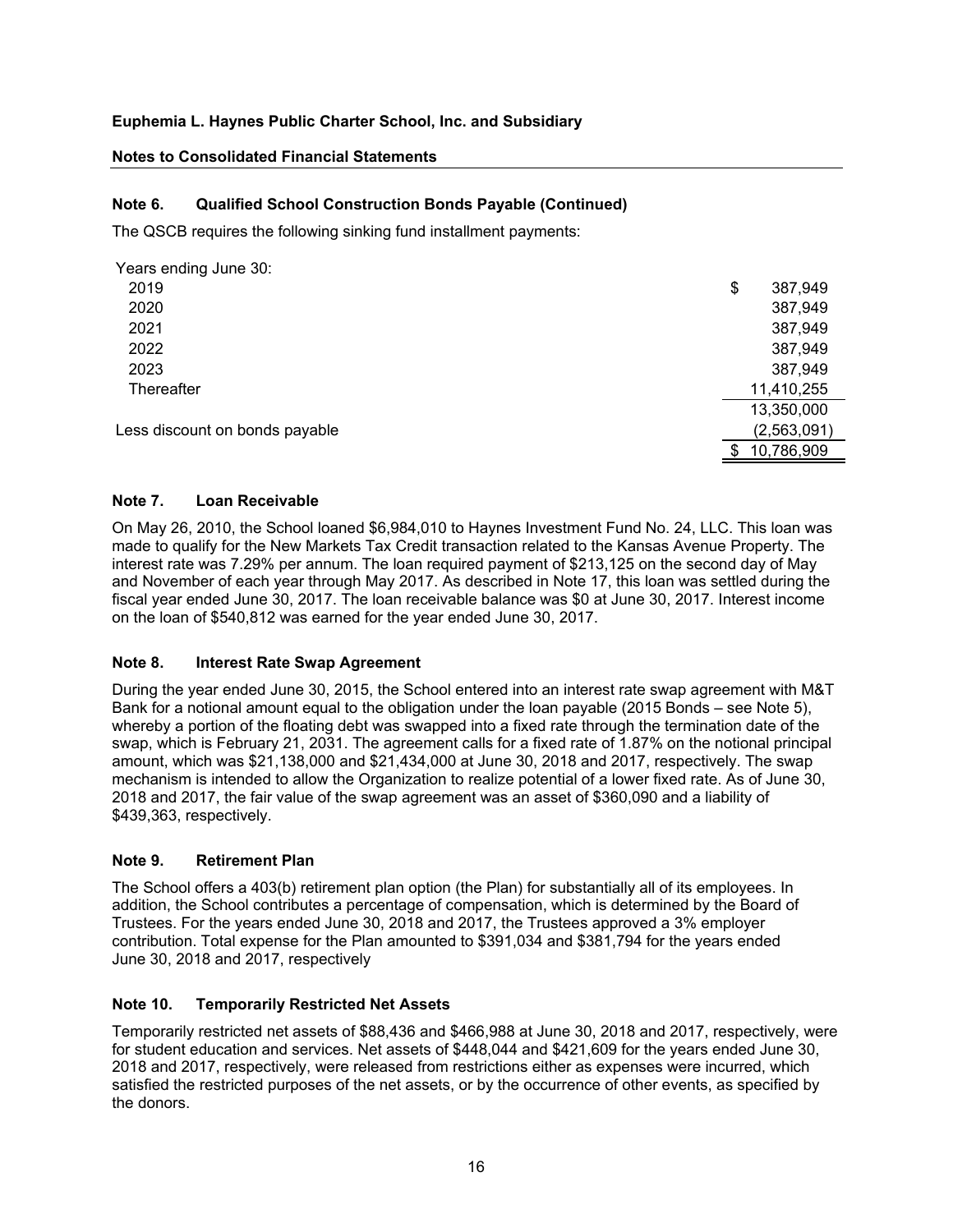#### **Notes to Consolidated Financial Statements**

# **Note 6. Qualified School Construction Bonds Payable (Continued)**

The QSCB requires the following sinking fund installment payments:

Years ending June 30:

| 2019                           | \$<br>387,949 |
|--------------------------------|---------------|
| 2020                           | 387,949       |
| 2021                           | 387,949       |
| 2022                           | 387,949       |
| 2023                           | 387,949       |
| Thereafter                     | 11,410,255    |
|                                | 13,350,000    |
| Less discount on bonds payable | (2,563,091)   |
|                                | 10,786,909    |

# **Note 7. Loan Receivable**

On May 26, 2010, the School loaned \$6,984,010 to Haynes Investment Fund No. 24, LLC. This loan was made to qualify for the New Markets Tax Credit transaction related to the Kansas Avenue Property. The interest rate was 7.29% per annum. The loan required payment of \$213,125 on the second day of May and November of each year through May 2017. As described in Note 17, this loan was settled during the fiscal year ended June 30, 2017. The loan receivable balance was \$0 at June 30, 2017. Interest income on the loan of \$540,812 was earned for the year ended June 30, 2017.

#### **Note 8. Interest Rate Swap Agreement**

During the year ended June 30, 2015, the School entered into an interest rate swap agreement with M&T Bank for a notional amount equal to the obligation under the loan payable (2015 Bonds – see Note 5), whereby a portion of the floating debt was swapped into a fixed rate through the termination date of the swap, which is February 21, 2031. The agreement calls for a fixed rate of 1.87% on the notional principal amount, which was \$21,138,000 and \$21,434,000 at June 30, 2018 and 2017, respectively. The swap mechanism is intended to allow the Organization to realize potential of a lower fixed rate. As of June 30, 2018 and 2017, the fair value of the swap agreement was an asset of \$360,090 and a liability of \$439,363, respectively.

#### **Note 9. Retirement Plan**

The School offers a 403(b) retirement plan option (the Plan) for substantially all of its employees. In addition, the School contributes a percentage of compensation, which is determined by the Board of Trustees. For the years ended June 30, 2018 and 2017, the Trustees approved a 3% employer contribution. Total expense for the Plan amounted to \$391,034 and \$381,794 for the years ended June 30, 2018 and 2017, respectively

#### **Note 10. Temporarily Restricted Net Assets**

Temporarily restricted net assets of \$88,436 and \$466,988 at June 30, 2018 and 2017, respectively, were for student education and services. Net assets of \$448,044 and \$421,609 for the years ended June 30, 2018 and 2017, respectively, were released from restrictions either as expenses were incurred, which satisfied the restricted purposes of the net assets, or by the occurrence of other events, as specified by the donors.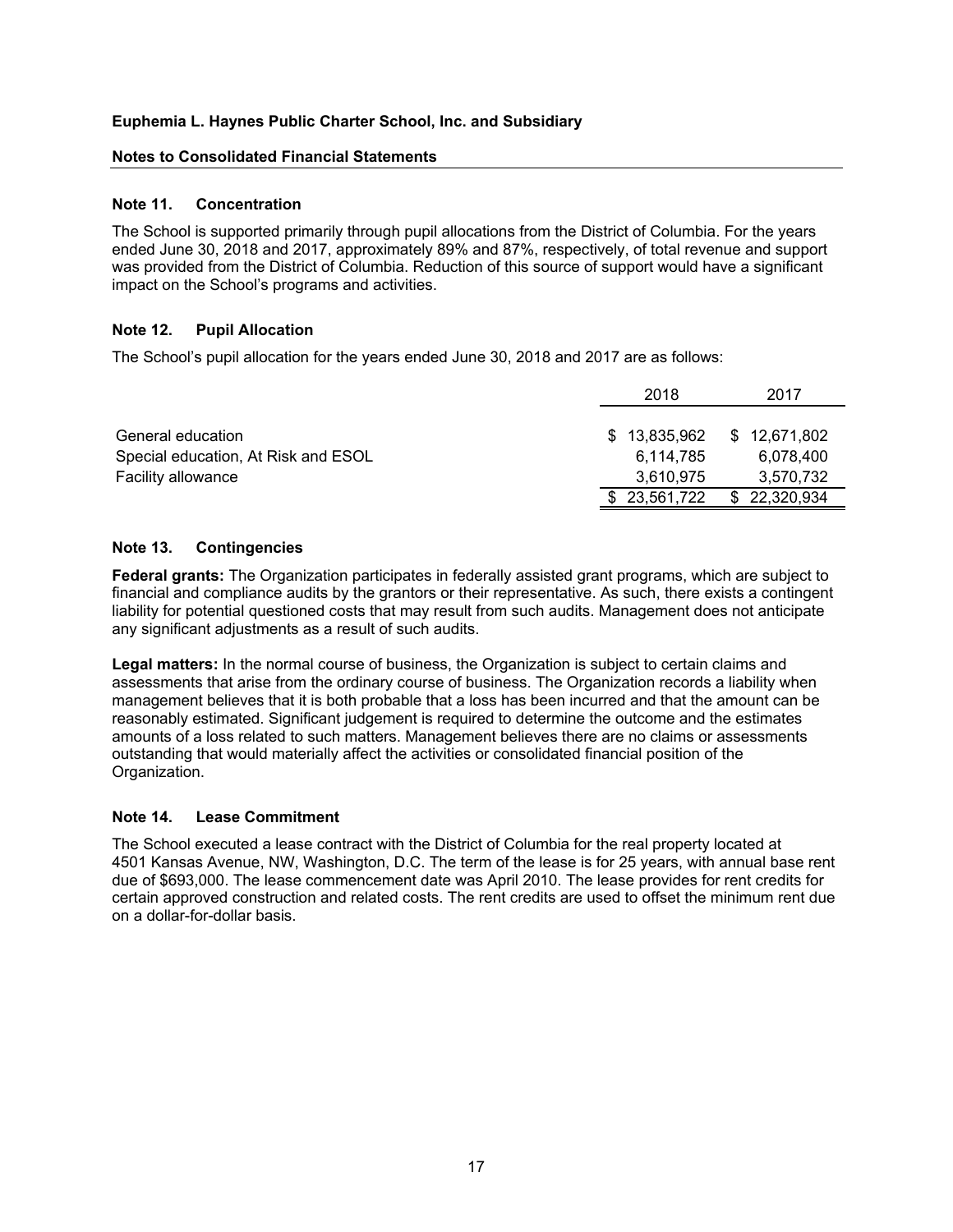#### **Notes to Consolidated Financial Statements**

#### **Note 11. Concentration**

The School is supported primarily through pupil allocations from the District of Columbia. For the years ended June 30, 2018 and 2017, approximately 89% and 87%, respectively, of total revenue and support was provided from the District of Columbia. Reduction of this source of support would have a significant impact on the School's programs and activities.

# **Note 12. Pupil Allocation**

The School's pupil allocation for the years ended June 30, 2018 and 2017 are as follows:

|                                     | 2018          | 2017          |
|-------------------------------------|---------------|---------------|
|                                     |               |               |
| General education                   | \$13,835,962  | \$12,671,802  |
| Special education, At Risk and ESOL | 6,114,785     | 6.078.400     |
| Facility allowance                  | 3.610.975     | 3,570,732     |
|                                     | \$ 23,561,722 | \$ 22,320,934 |

# **Note 13. Contingencies**

**Federal grants:** The Organization participates in federally assisted grant programs, which are subject to financial and compliance audits by the grantors or their representative. As such, there exists a contingent liability for potential questioned costs that may result from such audits. Management does not anticipate any significant adjustments as a result of such audits.

**Legal matters:** In the normal course of business, the Organization is subject to certain claims and assessments that arise from the ordinary course of business. The Organization records a liability when management believes that it is both probable that a loss has been incurred and that the amount can be reasonably estimated. Significant judgement is required to determine the outcome and the estimates amounts of a loss related to such matters. Management believes there are no claims or assessments outstanding that would materially affect the activities or consolidated financial position of the Organization.

#### **Note 14. Lease Commitment**

The School executed a lease contract with the District of Columbia for the real property located at 4501 Kansas Avenue, NW, Washington, D.C. The term of the lease is for 25 years, with annual base rent due of \$693,000. The lease commencement date was April 2010. The lease provides for rent credits for certain approved construction and related costs. The rent credits are used to offset the minimum rent due on a dollar-for-dollar basis.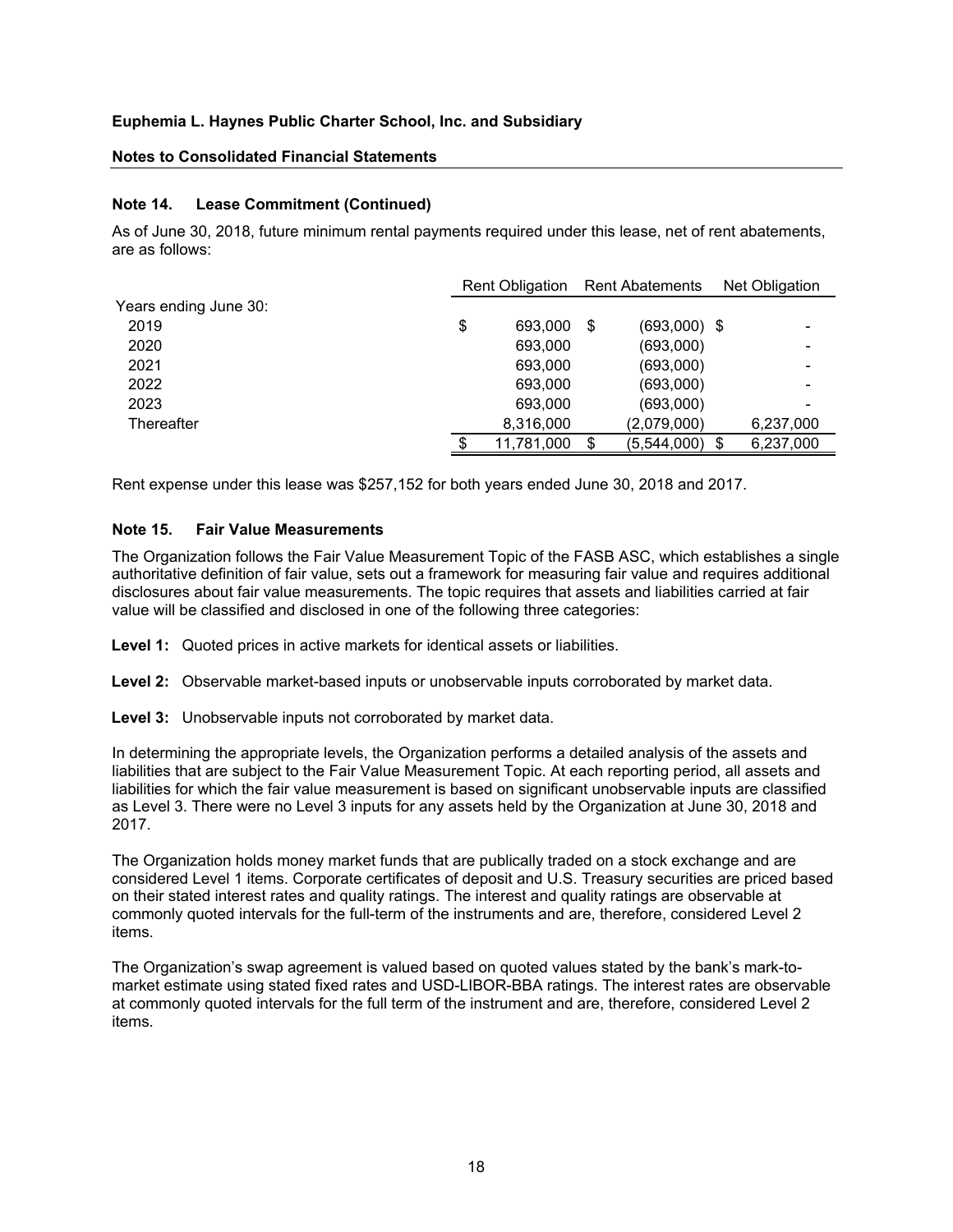#### **Notes to Consolidated Financial Statements**

#### **Note 14. Lease Commitment (Continued)**

As of June 30, 2018, future minimum rental payments required under this lease, net of rent abatements, are as follows:

|                       | <b>Rent Obligation</b> |    | <b>Rent Abatements</b> |  | Net Obligation |
|-----------------------|------------------------|----|------------------------|--|----------------|
| Years ending June 30: |                        |    |                        |  |                |
| 2019                  | \$<br>693,000          | \$ | $(693,000)$ \$         |  |                |
| 2020                  | 693,000                |    | (693,000)              |  |                |
| 2021                  | 693,000                |    | (693,000)              |  |                |
| 2022                  | 693,000                |    | (693,000)              |  |                |
| 2023                  | 693,000                |    | (693,000)              |  |                |
| Thereafter            | 8,316,000              |    | (2,079,000)            |  | 6,237,000      |
|                       | 11,781,000             |    | (5,544,000)            |  | 6,237,000      |
|                       |                        |    |                        |  |                |

Rent expense under this lease was \$257,152 for both years ended June 30, 2018 and 2017.

#### **Note 15. Fair Value Measurements**

The Organization follows the Fair Value Measurement Topic of the FASB ASC, which establishes a single authoritative definition of fair value, sets out a framework for measuring fair value and requires additional disclosures about fair value measurements. The topic requires that assets and liabilities carried at fair value will be classified and disclosed in one of the following three categories:

**Level 1:** Quoted prices in active markets for identical assets or liabilities.

- **Level 2:** Observable market-based inputs or unobservable inputs corroborated by market data.
- **Level 3:** Unobservable inputs not corroborated by market data.

In determining the appropriate levels, the Organization performs a detailed analysis of the assets and liabilities that are subject to the Fair Value Measurement Topic. At each reporting period, all assets and liabilities for which the fair value measurement is based on significant unobservable inputs are classified as Level 3. There were no Level 3 inputs for any assets held by the Organization at June 30, 2018 and 2017.

The Organization holds money market funds that are publically traded on a stock exchange and are considered Level 1 items. Corporate certificates of deposit and U.S. Treasury securities are priced based on their stated interest rates and quality ratings. The interest and quality ratings are observable at commonly quoted intervals for the full-term of the instruments and are, therefore, considered Level 2 items.

The Organization's swap agreement is valued based on quoted values stated by the bank's mark-tomarket estimate using stated fixed rates and USD-LIBOR-BBA ratings. The interest rates are observable at commonly quoted intervals for the full term of the instrument and are, therefore, considered Level 2 items.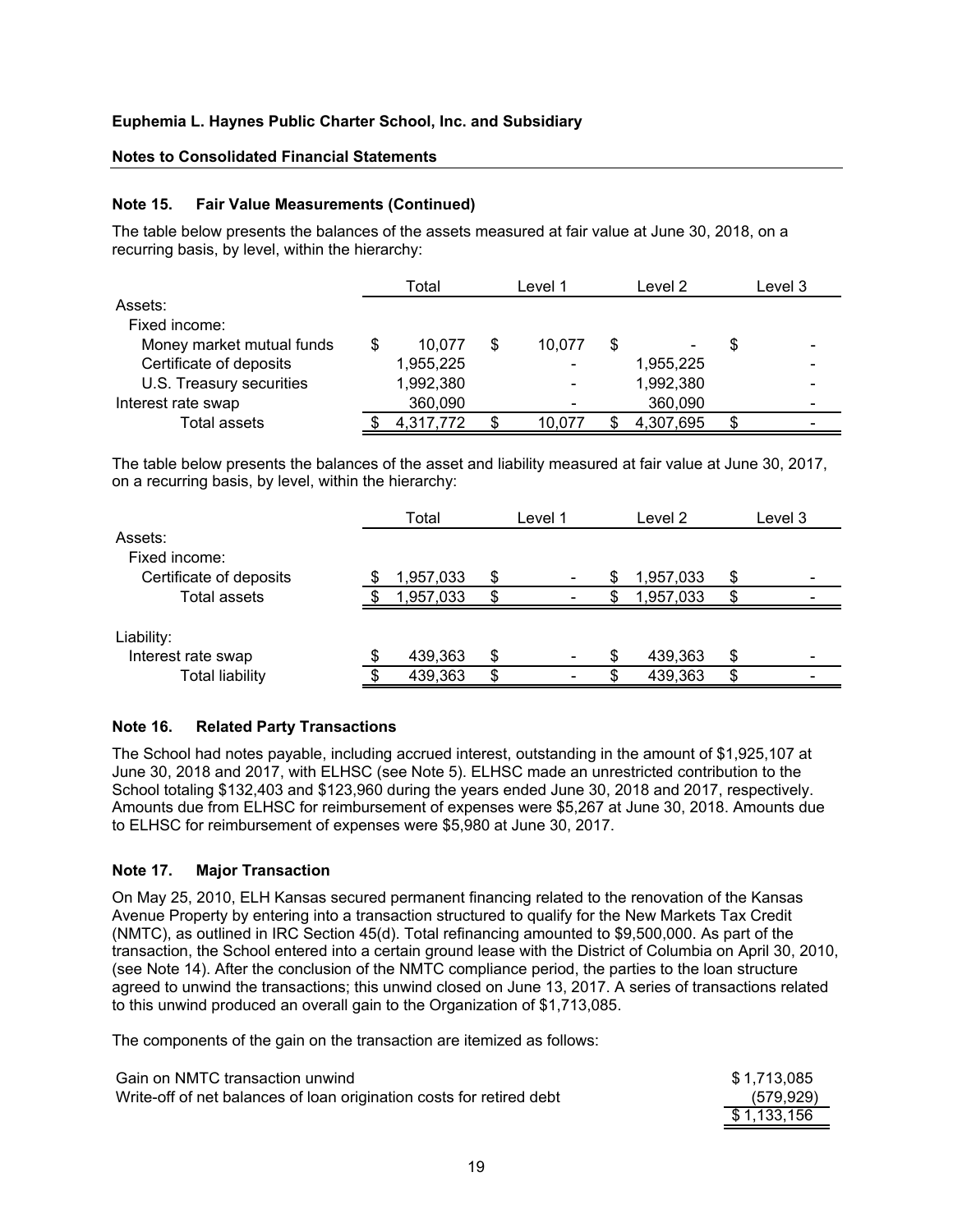#### **Notes to Consolidated Financial Statements**

#### **Note 15. Fair Value Measurements (Continued)**

The table below presents the balances of the assets measured at fair value at June 30, 2018, on a recurring basis, by level, within the hierarchy:

|                           | Total     | Level 1 | Level 2   | Level 3 |   |  |
|---------------------------|-----------|---------|-----------|---------|---|--|
| Assets:                   |           |         |           |         |   |  |
| Fixed income:             |           |         |           |         |   |  |
| Money market mutual funds | 10.077    | 10.077  |           | \$      |   |  |
| Certificate of deposits   | 1,955,225 |         | 1,955,225 |         |   |  |
| U.S. Treasury securities  | 1,992,380 |         | 1,992,380 |         |   |  |
| Interest rate swap        | 360,090   |         | 360,090   |         | - |  |
| <b>Total assets</b>       | 4,317,772 | 10.077  | 4,307,695 | \$      |   |  |

The table below presents the balances of the asset and liability measured at fair value at June 30, 2017, on a recurring basis, by level, within the hierarchy:

| Total<br>Level 1 |   |   |   | Level 2   | Level 3 |   |  |
|------------------|---|---|---|-----------|---------|---|--|
|                  |   |   |   |           |         |   |  |
|                  |   |   |   |           |         |   |  |
| 1,957,033        | S |   | S | 1,957,033 | \$      |   |  |
| 1,957,033        |   |   |   | 1,957,033 | ጥ       | ۰ |  |
|                  |   |   |   |           |         |   |  |
|                  |   |   |   |           |         |   |  |
| 439,363          | S |   |   | 439,363   | \$      |   |  |
| 439,363          |   | - |   | 439,363   | S.      | - |  |
|                  |   |   |   |           |         |   |  |

# **Note 16. Related Party Transactions**

The School had notes payable, including accrued interest, outstanding in the amount of \$1,925,107 at June 30, 2018 and 2017, with ELHSC (see Note 5). ELHSC made an unrestricted contribution to the School totaling \$132,403 and \$123,960 during the years ended June 30, 2018 and 2017, respectively. Amounts due from ELHSC for reimbursement of expenses were \$5,267 at June 30, 2018. Amounts due to ELHSC for reimbursement of expenses were \$5,980 at June 30, 2017.

# **Note 17. Major Transaction**

On May 25, 2010, ELH Kansas secured permanent financing related to the renovation of the Kansas Avenue Property by entering into a transaction structured to qualify for the New Markets Tax Credit (NMTC), as outlined in IRC Section 45(d). Total refinancing amounted to \$9,500,000. As part of the transaction, the School entered into a certain ground lease with the District of Columbia on April 30, 2010, (see Note 14). After the conclusion of the NMTC compliance period, the parties to the loan structure agreed to unwind the transactions; this unwind closed on June 13, 2017. A series of transactions related to this unwind produced an overall gain to the Organization of \$1,713,085.

The components of the gain on the transaction are itemized as follows:

| Gain on NMTC transaction unwind                                      | \$1.713.085 |
|----------------------------------------------------------------------|-------------|
| Write-off of net balances of loan origination costs for retired debt | (579, 929)  |
|                                                                      | \$1,133,156 |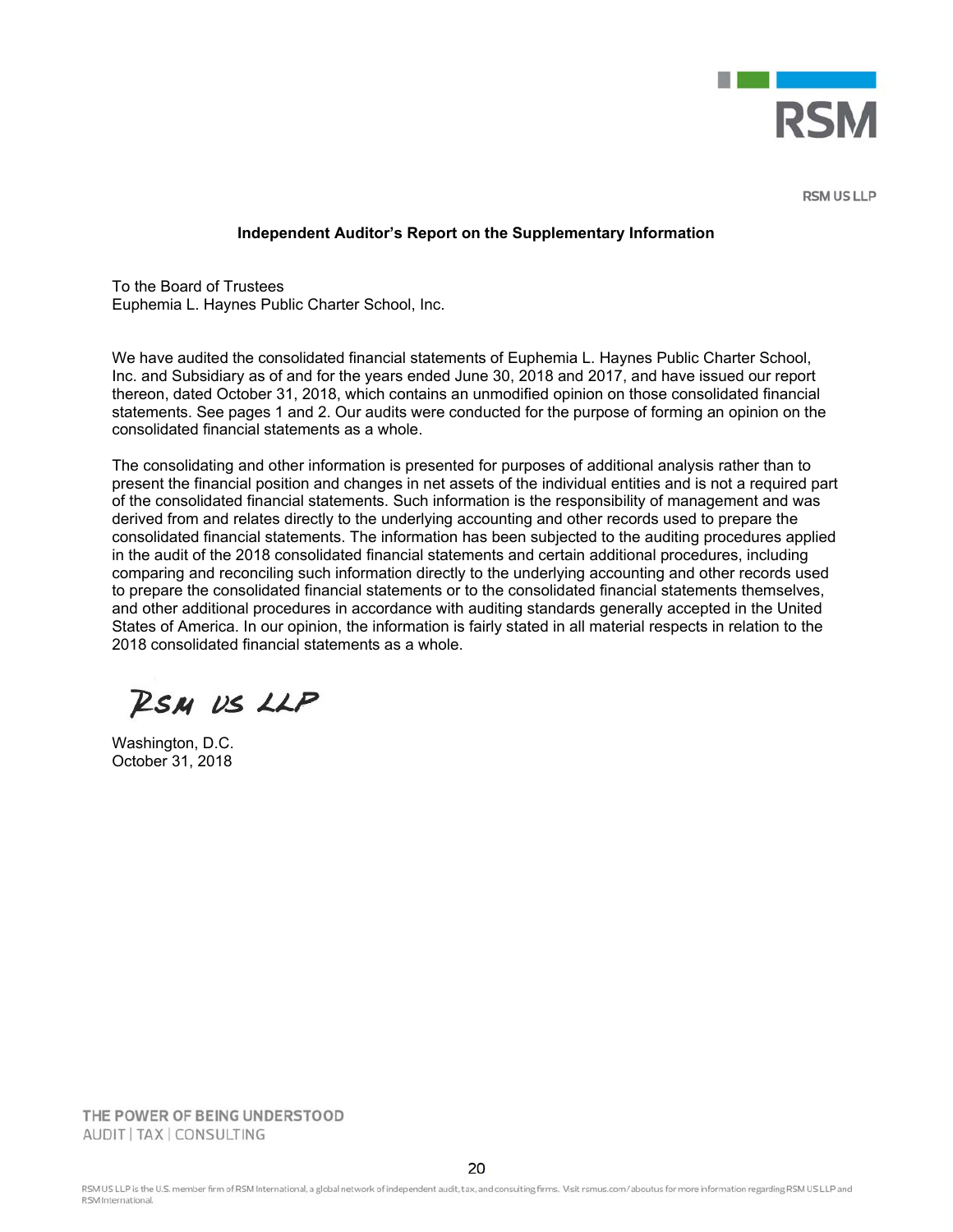

**RSM US LLP** 

#### **Independent Auditor's Report on the Supplementary Information**

To the Board of Trustees Euphemia L. Haynes Public Charter School, Inc.

We have audited the consolidated financial statements of Euphemia L. Haynes Public Charter School, Inc. and Subsidiary as of and for the years ended June 30, 2018 and 2017, and have issued our report thereon, dated October 31, 2018, which contains an unmodified opinion on those consolidated financial statements. See pages 1 and 2. Our audits were conducted for the purpose of forming an opinion on the consolidated financial statements as a whole.

The consolidating and other information is presented for purposes of additional analysis rather than to present the financial position and changes in net assets of the individual entities and is not a required part of the consolidated financial statements. Such information is the responsibility of management and was derived from and relates directly to the underlying accounting and other records used to prepare the consolidated financial statements. The information has been subjected to the auditing procedures applied in the audit of the 2018 consolidated financial statements and certain additional procedures, including comparing and reconciling such information directly to the underlying accounting and other records used to prepare the consolidated financial statements or to the consolidated financial statements themselves, and other additional procedures in accordance with auditing standards generally accepted in the United States of America. In our opinion, the information is fairly stated in all material respects in relation to the 2018 consolidated financial statements as a whole.

RSM US LLP

Washington, D.C. October 31, 2018

THE POWER OF BEING UNDERSTOOD AUDIT | TAX | CONSULTING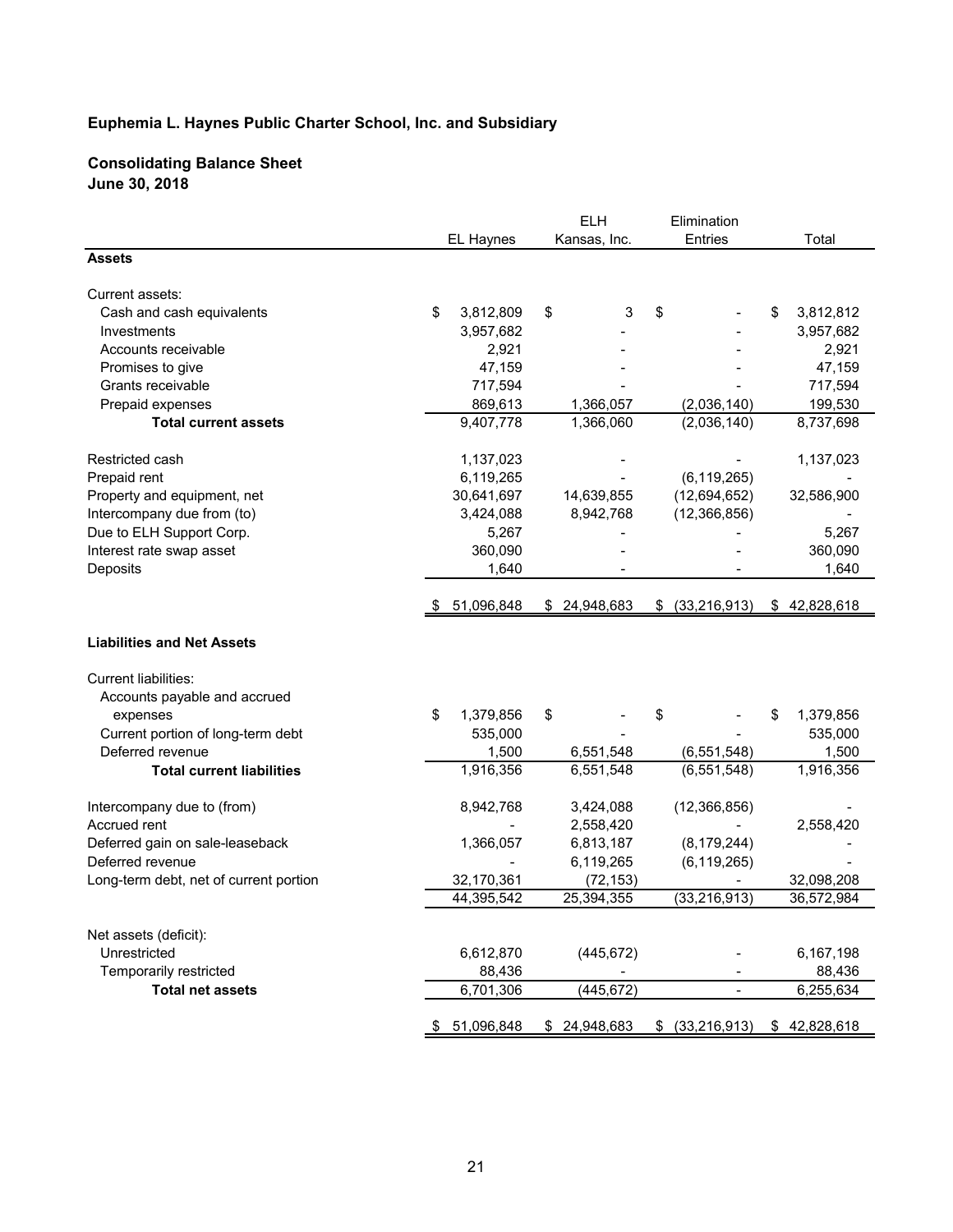#### **Consolidating Balance Sheet June 30, 2018**

|                                        | <b>ELH</b>        |         |              | Elimination                  |                 |
|----------------------------------------|-------------------|---------|--------------|------------------------------|-----------------|
|                                        | <b>EL Haynes</b>  |         | Kansas, Inc. | <b>Entries</b>               | Total           |
| <b>Assets</b>                          |                   |         |              |                              |                 |
| Current assets:                        |                   |         |              |                              |                 |
| Cash and cash equivalents              | \$<br>3,812,809   |         | \$<br>3      | \$                           | \$<br>3,812,812 |
| Investments                            | 3,957,682         |         |              |                              | 3,957,682       |
| Accounts receivable                    |                   | 2,921   |              |                              | 2,921           |
| Promises to give                       |                   | 47,159  |              |                              | 47,159          |
| Grants receivable                      |                   | 717,594 |              |                              | 717,594         |
| Prepaid expenses                       |                   | 869,613 | 1,366,057    | (2,036,140)                  | 199,530         |
| <b>Total current assets</b>            | 9,407,778         |         | 1,366,060    | (2,036,140)                  | 8,737,698       |
| Restricted cash                        | 1,137,023         |         |              |                              | 1,137,023       |
| Prepaid rent                           | 6,119,265         |         |              | (6, 119, 265)                |                 |
| Property and equipment, net            | 30,641,697        |         | 14,639,855   | (12,694,652)                 | 32,586,900      |
| Intercompany due from (to)             | 3,424,088         |         | 8,942,768    | (12, 366, 856)               |                 |
| Due to ELH Support Corp.               |                   | 5,267   |              |                              | 5,267           |
| Interest rate swap asset               |                   | 360,090 |              |                              | 360,090         |
| Deposits                               |                   | 1,640   |              |                              | 1,640           |
|                                        | 51,096,848<br>SS. |         | \$24,948,683 | \$ (33,216,913)              | \$42,828,618    |
| <b>Liabilities and Net Assets</b>      |                   |         |              |                              |                 |
| Current liabilities:                   |                   |         |              |                              |                 |
| Accounts payable and accrued           |                   |         |              |                              |                 |
| expenses                               | \$<br>1,379,856   |         | \$           | \$                           | \$<br>1,379,856 |
| Current portion of long-term debt      |                   | 535,000 |              |                              | 535,000         |
| Deferred revenue                       |                   | 1,500   | 6,551,548    | (6, 551, 548)                | 1,500           |
| <b>Total current liabilities</b>       | 1,916,356         |         | 6,551,548    | (6, 551, 548)                | 1,916,356       |
| Intercompany due to (from)             | 8,942,768         |         | 3,424,088    | (12, 366, 856)               |                 |
| Accrued rent                           |                   |         | 2,558,420    |                              | 2,558,420       |
| Deferred gain on sale-leaseback        | 1,366,057         |         | 6,813,187    | (8, 179, 244)                |                 |
| Deferred revenue                       |                   |         | 6,119,265    | (6, 119, 265)                |                 |
| Long-term debt, net of current portion | 32,170,361        |         | (72, 153)    |                              | 32,098,208      |
|                                        | 44,395,542        |         | 25,394,355   | (33, 216, 913)               | 36,572,984      |
| Net assets (deficit):                  |                   |         |              |                              |                 |
| Unrestricted                           | 6,612,870         |         | (445, 672)   |                              | 6,167,198       |
| Temporarily restricted                 |                   | 88,436  |              |                              | 88,436          |
| <b>Total net assets</b>                | 6,701,306         |         | (445, 672)   | $\qquad \qquad \blacksquare$ | 6,255,634       |
|                                        |                   |         |              |                              |                 |
|                                        | 51,096,848<br>\$  |         | \$24,948,683 | \$ (33,216,913)              | \$42,828,618    |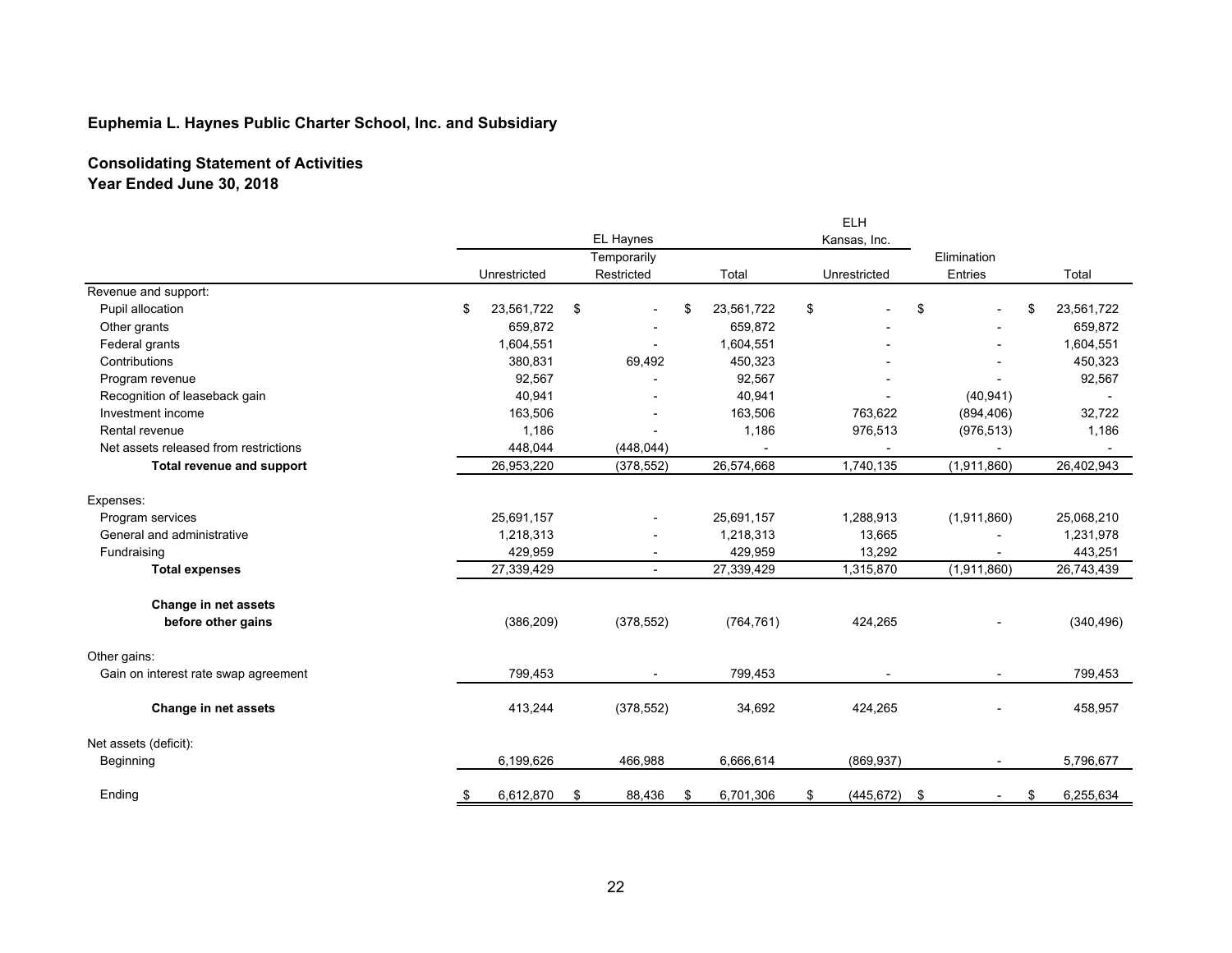# **Consolidating Statement of Activities Year Ended June 30, 2018**

|                                       |           |              |    |                |                  |    | <b>ELH</b>   |    |                |                  |
|---------------------------------------|-----------|--------------|----|----------------|------------------|----|--------------|----|----------------|------------------|
|                                       | EL Haynes |              |    |                | Kansas, Inc.     |    |              |    |                |                  |
|                                       |           |              |    | Temporarily    | Elimination      |    |              |    |                |                  |
|                                       |           | Unrestricted |    | Restricted     | Total            |    | Unrestricted |    | <b>Entries</b> | Total            |
| Revenue and support:                  |           |              |    |                |                  |    |              |    |                |                  |
| Pupil allocation                      | \$        | 23,561,722   | \$ | $\blacksquare$ | \$<br>23,561,722 | \$ |              | \$ |                | \$<br>23,561,722 |
| Other grants                          |           | 659,872      |    |                | 659,872          |    |              |    |                | 659,872          |
| Federal grants                        |           | 1,604,551    |    |                | 1,604,551        |    |              |    |                | 1,604,551        |
| Contributions                         |           | 380,831      |    | 69,492         | 450,323          |    |              |    |                | 450,323          |
| Program revenue                       |           | 92,567       |    |                | 92,567           |    |              |    |                | 92,567           |
| Recognition of leaseback gain         |           | 40,941       |    |                | 40,941           |    |              |    | (40, 941)      |                  |
| Investment income                     |           | 163,506      |    |                | 163,506          |    | 763,622      |    | (894, 406)     | 32,722           |
| Rental revenue                        |           | 1,186        |    |                | 1,186            |    | 976,513      |    | (976, 513)     | 1,186            |
| Net assets released from restrictions |           | 448,044      |    | (448, 044)     | $\blacksquare$   |    |              |    | $\blacksquare$ |                  |
| Total revenue and support             |           | 26,953,220   |    | (378, 552)     | 26,574,668       |    | 1,740,135    |    | (1,911,860)    | 26,402,943       |
| Expenses:                             |           |              |    |                |                  |    |              |    |                |                  |
| Program services                      |           | 25,691,157   |    |                | 25,691,157       |    | 1,288,913    |    | (1,911,860)    | 25,068,210       |
| General and administrative            |           | 1,218,313    |    |                | 1,218,313        |    | 13,665       |    |                | 1,231,978        |
| Fundraising                           |           | 429,959      |    |                | 429,959          |    | 13,292       |    |                | 443,251          |
| <b>Total expenses</b>                 |           | 27,339,429   |    | $\blacksquare$ | 27,339,429       |    | 1,315,870    |    | (1,911,860)    | 26,743,439       |
| Change in net assets                  |           |              |    |                |                  |    |              |    |                |                  |
| before other gains                    |           | (386, 209)   |    | (378, 552)     | (764, 761)       |    | 424,265      |    |                | (340, 496)       |
| Other gains:                          |           |              |    |                |                  |    |              |    |                |                  |
| Gain on interest rate swap agreement  |           | 799,453      |    |                | 799,453          |    |              |    | $\blacksquare$ | 799,453          |
| Change in net assets                  |           | 413,244      |    | (378, 552)     | 34,692           |    | 424,265      |    |                | 458,957          |
| Net assets (deficit):                 |           |              |    |                |                  |    |              |    |                |                  |
| Beginning                             |           | 6,199,626    |    | 466,988        | 6,666,614        |    | (869, 937)   |    |                | 5,796,677        |
| Ending                                | \$        | 6,612,870    | \$ | 88,436         | \$<br>6,701,306  | \$ | (445, 672)   | \$ |                | \$<br>6,255,634  |